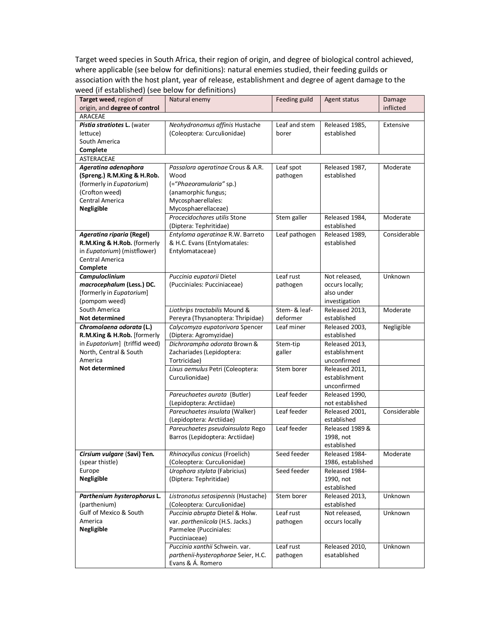Target weed species in South Africa, their region of origin, and degree of biological control achieved, where applicable (see below for definitions): natural enemies studied, their feeding guilds or association with the host plant, year of release, establishment and degree of agent damage to the weed (if established) (see below for definitions)

| origin, and degree of control<br>inflicted<br>ARACEAE<br>Neohydronomus affinis Hustache<br>Pistia stratiotes L. (water<br>Leaf and stem<br>Released 1985,<br>Extensive<br>(Coleoptera: Curculionidae)<br>established<br>lettuce)<br>borer<br>South America<br>Complete<br>ASTERACEAE<br>Ageratina adenophora<br>Leaf spot<br>Passalora ageratinae Crous & A.R.<br>Released 1987,<br>Moderate<br>(Spreng.) R.M.King & H.Rob.<br>Wood<br>established<br>pathogen<br>(formerly in Eupatorium)<br>(="Phaeoramularia" sp.)<br>(Crofton weed)<br>(anamorphic fungus;<br>Central America<br>Mycosphaerellales:<br>Mycosphaerellaceae)<br>Negligible<br>Procecidochares utilis Stone<br>Stem galler<br>Released 1984,<br>Moderate<br>(Diptera: Tephritidae)<br>established<br>Ageratina riparia (Regel)<br>Leaf pathogen<br>Considerable<br>Entyloma ageratinae R.W. Barreto<br>Released 1989,<br>R.M.King & H.Rob. (formerly<br>& H.C. Evans (Entylomatales:<br>established<br>in Eupatorium) (mistflower)<br>Entylomataceae)<br>Central America<br>Complete<br>Leaf rust<br>Unknown<br>Campuloclinium<br>Puccinia eupatorii Dietel<br>Not released,<br>macrocephalum (Less.) DC.<br>(Pucciniales: Pucciniaceae)<br>pathogen<br>occurs locally;<br>[formerly in Eupatorium]<br>also under<br>(pompom weed)<br>investigation<br>South America<br>Liothrips tractabilis Mound &<br>Stem- & leaf-<br>Released 2013,<br>Moderate<br>Not determined<br>Pereyra (Thysanoptera: Thripidae)<br>deformer<br>established<br>Calycomyza eupatorivora Spencer<br>Negligible<br>Chromolaena odorata (L.)<br>Leaf miner<br>Released 2003,<br>R.M.King & H.Rob. [formerly<br>(Diptera: Agromyzidae)<br>established<br>in Eupatorium] (triffid weed)<br>Dichrorampha odorata Brown &<br>Stem-tip<br>Released 2013,<br>North, Central & South<br>Zachariades (Lepidoptera:<br>establishment<br>galler<br>America<br>Tortricidae)<br>unconfirmed<br>Not determined<br>Lixus aemulus Petri (Coleoptera:<br>Stem borer<br>Released 2011,<br>Curculionidae)<br>establishment<br>unconfirmed<br>Leaf feeder<br>Released 1990,<br>Pareuchaetes aurata (Butler)<br>(Lepidoptera: Arctiidae)<br>not established<br>Leaf feeder<br>Pareuchaetes insulata (Walker)<br>Considerable<br>Released 2001,<br>(Lepidoptera: Arctiidae)<br>established<br>Leaf feeder<br>Pareuchaetes pseudoinsulata Rego<br>Released 1989 &<br>Barros (Lepidoptera: Arctiidae)<br>1998, not<br>established<br>Rhinocyllus conicus (Froelich)<br>Seed feeder<br>Cirsium vulgare (Savi) Ten.<br>Released 1984-<br>Moderate<br>(Coleoptera: Curculionidae)<br>(spear thistle)<br>1986, established<br>Europe<br>Urophora stylata (Fabricius)<br>Seed feeder<br>Released 1984-<br><b>Negligible</b><br>(Diptera: Tephritidae)<br>1990, not<br>established |
|-----------------------------------------------------------------------------------------------------------------------------------------------------------------------------------------------------------------------------------------------------------------------------------------------------------------------------------------------------------------------------------------------------------------------------------------------------------------------------------------------------------------------------------------------------------------------------------------------------------------------------------------------------------------------------------------------------------------------------------------------------------------------------------------------------------------------------------------------------------------------------------------------------------------------------------------------------------------------------------------------------------------------------------------------------------------------------------------------------------------------------------------------------------------------------------------------------------------------------------------------------------------------------------------------------------------------------------------------------------------------------------------------------------------------------------------------------------------------------------------------------------------------------------------------------------------------------------------------------------------------------------------------------------------------------------------------------------------------------------------------------------------------------------------------------------------------------------------------------------------------------------------------------------------------------------------------------------------------------------------------------------------------------------------------------------------------------------------------------------------------------------------------------------------------------------------------------------------------------------------------------------------------------------------------------------------------------------------------------------------------------------------------------------------------------------------------------------------------------------------------------------------------------------------------------------------------------------------------------------------------------------------------------------------------------------------------------------------------------------------------------------------------------------------------|
|                                                                                                                                                                                                                                                                                                                                                                                                                                                                                                                                                                                                                                                                                                                                                                                                                                                                                                                                                                                                                                                                                                                                                                                                                                                                                                                                                                                                                                                                                                                                                                                                                                                                                                                                                                                                                                                                                                                                                                                                                                                                                                                                                                                                                                                                                                                                                                                                                                                                                                                                                                                                                                                                                                                                                                                               |
|                                                                                                                                                                                                                                                                                                                                                                                                                                                                                                                                                                                                                                                                                                                                                                                                                                                                                                                                                                                                                                                                                                                                                                                                                                                                                                                                                                                                                                                                                                                                                                                                                                                                                                                                                                                                                                                                                                                                                                                                                                                                                                                                                                                                                                                                                                                                                                                                                                                                                                                                                                                                                                                                                                                                                                                               |
|                                                                                                                                                                                                                                                                                                                                                                                                                                                                                                                                                                                                                                                                                                                                                                                                                                                                                                                                                                                                                                                                                                                                                                                                                                                                                                                                                                                                                                                                                                                                                                                                                                                                                                                                                                                                                                                                                                                                                                                                                                                                                                                                                                                                                                                                                                                                                                                                                                                                                                                                                                                                                                                                                                                                                                                               |
|                                                                                                                                                                                                                                                                                                                                                                                                                                                                                                                                                                                                                                                                                                                                                                                                                                                                                                                                                                                                                                                                                                                                                                                                                                                                                                                                                                                                                                                                                                                                                                                                                                                                                                                                                                                                                                                                                                                                                                                                                                                                                                                                                                                                                                                                                                                                                                                                                                                                                                                                                                                                                                                                                                                                                                                               |
|                                                                                                                                                                                                                                                                                                                                                                                                                                                                                                                                                                                                                                                                                                                                                                                                                                                                                                                                                                                                                                                                                                                                                                                                                                                                                                                                                                                                                                                                                                                                                                                                                                                                                                                                                                                                                                                                                                                                                                                                                                                                                                                                                                                                                                                                                                                                                                                                                                                                                                                                                                                                                                                                                                                                                                                               |
|                                                                                                                                                                                                                                                                                                                                                                                                                                                                                                                                                                                                                                                                                                                                                                                                                                                                                                                                                                                                                                                                                                                                                                                                                                                                                                                                                                                                                                                                                                                                                                                                                                                                                                                                                                                                                                                                                                                                                                                                                                                                                                                                                                                                                                                                                                                                                                                                                                                                                                                                                                                                                                                                                                                                                                                               |
|                                                                                                                                                                                                                                                                                                                                                                                                                                                                                                                                                                                                                                                                                                                                                                                                                                                                                                                                                                                                                                                                                                                                                                                                                                                                                                                                                                                                                                                                                                                                                                                                                                                                                                                                                                                                                                                                                                                                                                                                                                                                                                                                                                                                                                                                                                                                                                                                                                                                                                                                                                                                                                                                                                                                                                                               |
|                                                                                                                                                                                                                                                                                                                                                                                                                                                                                                                                                                                                                                                                                                                                                                                                                                                                                                                                                                                                                                                                                                                                                                                                                                                                                                                                                                                                                                                                                                                                                                                                                                                                                                                                                                                                                                                                                                                                                                                                                                                                                                                                                                                                                                                                                                                                                                                                                                                                                                                                                                                                                                                                                                                                                                                               |
|                                                                                                                                                                                                                                                                                                                                                                                                                                                                                                                                                                                                                                                                                                                                                                                                                                                                                                                                                                                                                                                                                                                                                                                                                                                                                                                                                                                                                                                                                                                                                                                                                                                                                                                                                                                                                                                                                                                                                                                                                                                                                                                                                                                                                                                                                                                                                                                                                                                                                                                                                                                                                                                                                                                                                                                               |
|                                                                                                                                                                                                                                                                                                                                                                                                                                                                                                                                                                                                                                                                                                                                                                                                                                                                                                                                                                                                                                                                                                                                                                                                                                                                                                                                                                                                                                                                                                                                                                                                                                                                                                                                                                                                                                                                                                                                                                                                                                                                                                                                                                                                                                                                                                                                                                                                                                                                                                                                                                                                                                                                                                                                                                                               |
|                                                                                                                                                                                                                                                                                                                                                                                                                                                                                                                                                                                                                                                                                                                                                                                                                                                                                                                                                                                                                                                                                                                                                                                                                                                                                                                                                                                                                                                                                                                                                                                                                                                                                                                                                                                                                                                                                                                                                                                                                                                                                                                                                                                                                                                                                                                                                                                                                                                                                                                                                                                                                                                                                                                                                                                               |
|                                                                                                                                                                                                                                                                                                                                                                                                                                                                                                                                                                                                                                                                                                                                                                                                                                                                                                                                                                                                                                                                                                                                                                                                                                                                                                                                                                                                                                                                                                                                                                                                                                                                                                                                                                                                                                                                                                                                                                                                                                                                                                                                                                                                                                                                                                                                                                                                                                                                                                                                                                                                                                                                                                                                                                                               |
|                                                                                                                                                                                                                                                                                                                                                                                                                                                                                                                                                                                                                                                                                                                                                                                                                                                                                                                                                                                                                                                                                                                                                                                                                                                                                                                                                                                                                                                                                                                                                                                                                                                                                                                                                                                                                                                                                                                                                                                                                                                                                                                                                                                                                                                                                                                                                                                                                                                                                                                                                                                                                                                                                                                                                                                               |
|                                                                                                                                                                                                                                                                                                                                                                                                                                                                                                                                                                                                                                                                                                                                                                                                                                                                                                                                                                                                                                                                                                                                                                                                                                                                                                                                                                                                                                                                                                                                                                                                                                                                                                                                                                                                                                                                                                                                                                                                                                                                                                                                                                                                                                                                                                                                                                                                                                                                                                                                                                                                                                                                                                                                                                                               |
|                                                                                                                                                                                                                                                                                                                                                                                                                                                                                                                                                                                                                                                                                                                                                                                                                                                                                                                                                                                                                                                                                                                                                                                                                                                                                                                                                                                                                                                                                                                                                                                                                                                                                                                                                                                                                                                                                                                                                                                                                                                                                                                                                                                                                                                                                                                                                                                                                                                                                                                                                                                                                                                                                                                                                                                               |
|                                                                                                                                                                                                                                                                                                                                                                                                                                                                                                                                                                                                                                                                                                                                                                                                                                                                                                                                                                                                                                                                                                                                                                                                                                                                                                                                                                                                                                                                                                                                                                                                                                                                                                                                                                                                                                                                                                                                                                                                                                                                                                                                                                                                                                                                                                                                                                                                                                                                                                                                                                                                                                                                                                                                                                                               |
|                                                                                                                                                                                                                                                                                                                                                                                                                                                                                                                                                                                                                                                                                                                                                                                                                                                                                                                                                                                                                                                                                                                                                                                                                                                                                                                                                                                                                                                                                                                                                                                                                                                                                                                                                                                                                                                                                                                                                                                                                                                                                                                                                                                                                                                                                                                                                                                                                                                                                                                                                                                                                                                                                                                                                                                               |
|                                                                                                                                                                                                                                                                                                                                                                                                                                                                                                                                                                                                                                                                                                                                                                                                                                                                                                                                                                                                                                                                                                                                                                                                                                                                                                                                                                                                                                                                                                                                                                                                                                                                                                                                                                                                                                                                                                                                                                                                                                                                                                                                                                                                                                                                                                                                                                                                                                                                                                                                                                                                                                                                                                                                                                                               |
|                                                                                                                                                                                                                                                                                                                                                                                                                                                                                                                                                                                                                                                                                                                                                                                                                                                                                                                                                                                                                                                                                                                                                                                                                                                                                                                                                                                                                                                                                                                                                                                                                                                                                                                                                                                                                                                                                                                                                                                                                                                                                                                                                                                                                                                                                                                                                                                                                                                                                                                                                                                                                                                                                                                                                                                               |
|                                                                                                                                                                                                                                                                                                                                                                                                                                                                                                                                                                                                                                                                                                                                                                                                                                                                                                                                                                                                                                                                                                                                                                                                                                                                                                                                                                                                                                                                                                                                                                                                                                                                                                                                                                                                                                                                                                                                                                                                                                                                                                                                                                                                                                                                                                                                                                                                                                                                                                                                                                                                                                                                                                                                                                                               |
|                                                                                                                                                                                                                                                                                                                                                                                                                                                                                                                                                                                                                                                                                                                                                                                                                                                                                                                                                                                                                                                                                                                                                                                                                                                                                                                                                                                                                                                                                                                                                                                                                                                                                                                                                                                                                                                                                                                                                                                                                                                                                                                                                                                                                                                                                                                                                                                                                                                                                                                                                                                                                                                                                                                                                                                               |
|                                                                                                                                                                                                                                                                                                                                                                                                                                                                                                                                                                                                                                                                                                                                                                                                                                                                                                                                                                                                                                                                                                                                                                                                                                                                                                                                                                                                                                                                                                                                                                                                                                                                                                                                                                                                                                                                                                                                                                                                                                                                                                                                                                                                                                                                                                                                                                                                                                                                                                                                                                                                                                                                                                                                                                                               |
|                                                                                                                                                                                                                                                                                                                                                                                                                                                                                                                                                                                                                                                                                                                                                                                                                                                                                                                                                                                                                                                                                                                                                                                                                                                                                                                                                                                                                                                                                                                                                                                                                                                                                                                                                                                                                                                                                                                                                                                                                                                                                                                                                                                                                                                                                                                                                                                                                                                                                                                                                                                                                                                                                                                                                                                               |
|                                                                                                                                                                                                                                                                                                                                                                                                                                                                                                                                                                                                                                                                                                                                                                                                                                                                                                                                                                                                                                                                                                                                                                                                                                                                                                                                                                                                                                                                                                                                                                                                                                                                                                                                                                                                                                                                                                                                                                                                                                                                                                                                                                                                                                                                                                                                                                                                                                                                                                                                                                                                                                                                                                                                                                                               |
|                                                                                                                                                                                                                                                                                                                                                                                                                                                                                                                                                                                                                                                                                                                                                                                                                                                                                                                                                                                                                                                                                                                                                                                                                                                                                                                                                                                                                                                                                                                                                                                                                                                                                                                                                                                                                                                                                                                                                                                                                                                                                                                                                                                                                                                                                                                                                                                                                                                                                                                                                                                                                                                                                                                                                                                               |
|                                                                                                                                                                                                                                                                                                                                                                                                                                                                                                                                                                                                                                                                                                                                                                                                                                                                                                                                                                                                                                                                                                                                                                                                                                                                                                                                                                                                                                                                                                                                                                                                                                                                                                                                                                                                                                                                                                                                                                                                                                                                                                                                                                                                                                                                                                                                                                                                                                                                                                                                                                                                                                                                                                                                                                                               |
|                                                                                                                                                                                                                                                                                                                                                                                                                                                                                                                                                                                                                                                                                                                                                                                                                                                                                                                                                                                                                                                                                                                                                                                                                                                                                                                                                                                                                                                                                                                                                                                                                                                                                                                                                                                                                                                                                                                                                                                                                                                                                                                                                                                                                                                                                                                                                                                                                                                                                                                                                                                                                                                                                                                                                                                               |
|                                                                                                                                                                                                                                                                                                                                                                                                                                                                                                                                                                                                                                                                                                                                                                                                                                                                                                                                                                                                                                                                                                                                                                                                                                                                                                                                                                                                                                                                                                                                                                                                                                                                                                                                                                                                                                                                                                                                                                                                                                                                                                                                                                                                                                                                                                                                                                                                                                                                                                                                                                                                                                                                                                                                                                                               |
|                                                                                                                                                                                                                                                                                                                                                                                                                                                                                                                                                                                                                                                                                                                                                                                                                                                                                                                                                                                                                                                                                                                                                                                                                                                                                                                                                                                                                                                                                                                                                                                                                                                                                                                                                                                                                                                                                                                                                                                                                                                                                                                                                                                                                                                                                                                                                                                                                                                                                                                                                                                                                                                                                                                                                                                               |
|                                                                                                                                                                                                                                                                                                                                                                                                                                                                                                                                                                                                                                                                                                                                                                                                                                                                                                                                                                                                                                                                                                                                                                                                                                                                                                                                                                                                                                                                                                                                                                                                                                                                                                                                                                                                                                                                                                                                                                                                                                                                                                                                                                                                                                                                                                                                                                                                                                                                                                                                                                                                                                                                                                                                                                                               |
|                                                                                                                                                                                                                                                                                                                                                                                                                                                                                                                                                                                                                                                                                                                                                                                                                                                                                                                                                                                                                                                                                                                                                                                                                                                                                                                                                                                                                                                                                                                                                                                                                                                                                                                                                                                                                                                                                                                                                                                                                                                                                                                                                                                                                                                                                                                                                                                                                                                                                                                                                                                                                                                                                                                                                                                               |
|                                                                                                                                                                                                                                                                                                                                                                                                                                                                                                                                                                                                                                                                                                                                                                                                                                                                                                                                                                                                                                                                                                                                                                                                                                                                                                                                                                                                                                                                                                                                                                                                                                                                                                                                                                                                                                                                                                                                                                                                                                                                                                                                                                                                                                                                                                                                                                                                                                                                                                                                                                                                                                                                                                                                                                                               |
|                                                                                                                                                                                                                                                                                                                                                                                                                                                                                                                                                                                                                                                                                                                                                                                                                                                                                                                                                                                                                                                                                                                                                                                                                                                                                                                                                                                                                                                                                                                                                                                                                                                                                                                                                                                                                                                                                                                                                                                                                                                                                                                                                                                                                                                                                                                                                                                                                                                                                                                                                                                                                                                                                                                                                                                               |
|                                                                                                                                                                                                                                                                                                                                                                                                                                                                                                                                                                                                                                                                                                                                                                                                                                                                                                                                                                                                                                                                                                                                                                                                                                                                                                                                                                                                                                                                                                                                                                                                                                                                                                                                                                                                                                                                                                                                                                                                                                                                                                                                                                                                                                                                                                                                                                                                                                                                                                                                                                                                                                                                                                                                                                                               |
|                                                                                                                                                                                                                                                                                                                                                                                                                                                                                                                                                                                                                                                                                                                                                                                                                                                                                                                                                                                                                                                                                                                                                                                                                                                                                                                                                                                                                                                                                                                                                                                                                                                                                                                                                                                                                                                                                                                                                                                                                                                                                                                                                                                                                                                                                                                                                                                                                                                                                                                                                                                                                                                                                                                                                                                               |
|                                                                                                                                                                                                                                                                                                                                                                                                                                                                                                                                                                                                                                                                                                                                                                                                                                                                                                                                                                                                                                                                                                                                                                                                                                                                                                                                                                                                                                                                                                                                                                                                                                                                                                                                                                                                                                                                                                                                                                                                                                                                                                                                                                                                                                                                                                                                                                                                                                                                                                                                                                                                                                                                                                                                                                                               |
|                                                                                                                                                                                                                                                                                                                                                                                                                                                                                                                                                                                                                                                                                                                                                                                                                                                                                                                                                                                                                                                                                                                                                                                                                                                                                                                                                                                                                                                                                                                                                                                                                                                                                                                                                                                                                                                                                                                                                                                                                                                                                                                                                                                                                                                                                                                                                                                                                                                                                                                                                                                                                                                                                                                                                                                               |
|                                                                                                                                                                                                                                                                                                                                                                                                                                                                                                                                                                                                                                                                                                                                                                                                                                                                                                                                                                                                                                                                                                                                                                                                                                                                                                                                                                                                                                                                                                                                                                                                                                                                                                                                                                                                                                                                                                                                                                                                                                                                                                                                                                                                                                                                                                                                                                                                                                                                                                                                                                                                                                                                                                                                                                                               |
|                                                                                                                                                                                                                                                                                                                                                                                                                                                                                                                                                                                                                                                                                                                                                                                                                                                                                                                                                                                                                                                                                                                                                                                                                                                                                                                                                                                                                                                                                                                                                                                                                                                                                                                                                                                                                                                                                                                                                                                                                                                                                                                                                                                                                                                                                                                                                                                                                                                                                                                                                                                                                                                                                                                                                                                               |
|                                                                                                                                                                                                                                                                                                                                                                                                                                                                                                                                                                                                                                                                                                                                                                                                                                                                                                                                                                                                                                                                                                                                                                                                                                                                                                                                                                                                                                                                                                                                                                                                                                                                                                                                                                                                                                                                                                                                                                                                                                                                                                                                                                                                                                                                                                                                                                                                                                                                                                                                                                                                                                                                                                                                                                                               |
|                                                                                                                                                                                                                                                                                                                                                                                                                                                                                                                                                                                                                                                                                                                                                                                                                                                                                                                                                                                                                                                                                                                                                                                                                                                                                                                                                                                                                                                                                                                                                                                                                                                                                                                                                                                                                                                                                                                                                                                                                                                                                                                                                                                                                                                                                                                                                                                                                                                                                                                                                                                                                                                                                                                                                                                               |
|                                                                                                                                                                                                                                                                                                                                                                                                                                                                                                                                                                                                                                                                                                                                                                                                                                                                                                                                                                                                                                                                                                                                                                                                                                                                                                                                                                                                                                                                                                                                                                                                                                                                                                                                                                                                                                                                                                                                                                                                                                                                                                                                                                                                                                                                                                                                                                                                                                                                                                                                                                                                                                                                                                                                                                                               |
|                                                                                                                                                                                                                                                                                                                                                                                                                                                                                                                                                                                                                                                                                                                                                                                                                                                                                                                                                                                                                                                                                                                                                                                                                                                                                                                                                                                                                                                                                                                                                                                                                                                                                                                                                                                                                                                                                                                                                                                                                                                                                                                                                                                                                                                                                                                                                                                                                                                                                                                                                                                                                                                                                                                                                                                               |
|                                                                                                                                                                                                                                                                                                                                                                                                                                                                                                                                                                                                                                                                                                                                                                                                                                                                                                                                                                                                                                                                                                                                                                                                                                                                                                                                                                                                                                                                                                                                                                                                                                                                                                                                                                                                                                                                                                                                                                                                                                                                                                                                                                                                                                                                                                                                                                                                                                                                                                                                                                                                                                                                                                                                                                                               |
|                                                                                                                                                                                                                                                                                                                                                                                                                                                                                                                                                                                                                                                                                                                                                                                                                                                                                                                                                                                                                                                                                                                                                                                                                                                                                                                                                                                                                                                                                                                                                                                                                                                                                                                                                                                                                                                                                                                                                                                                                                                                                                                                                                                                                                                                                                                                                                                                                                                                                                                                                                                                                                                                                                                                                                                               |
| Parthenium hysterophorus L.<br>Listronotus setosipennis (Hustache)<br>Stem borer<br>Unknown                                                                                                                                                                                                                                                                                                                                                                                                                                                                                                                                                                                                                                                                                                                                                                                                                                                                                                                                                                                                                                                                                                                                                                                                                                                                                                                                                                                                                                                                                                                                                                                                                                                                                                                                                                                                                                                                                                                                                                                                                                                                                                                                                                                                                                                                                                                                                                                                                                                                                                                                                                                                                                                                                                   |
| Released 2013,<br>(Coleoptera: Curculionidae)<br>established<br>(parthenium)                                                                                                                                                                                                                                                                                                                                                                                                                                                                                                                                                                                                                                                                                                                                                                                                                                                                                                                                                                                                                                                                                                                                                                                                                                                                                                                                                                                                                                                                                                                                                                                                                                                                                                                                                                                                                                                                                                                                                                                                                                                                                                                                                                                                                                                                                                                                                                                                                                                                                                                                                                                                                                                                                                                  |
| Gulf of Mexico & South<br>Not released,                                                                                                                                                                                                                                                                                                                                                                                                                                                                                                                                                                                                                                                                                                                                                                                                                                                                                                                                                                                                                                                                                                                                                                                                                                                                                                                                                                                                                                                                                                                                                                                                                                                                                                                                                                                                                                                                                                                                                                                                                                                                                                                                                                                                                                                                                                                                                                                                                                                                                                                                                                                                                                                                                                                                                       |
| Puccinia abrupta Dietel & Holw.<br>Leaf rust<br>Unknown<br>America<br>var. partheniicola (H.S. Jacks.)<br>occurs locally<br>pathogen                                                                                                                                                                                                                                                                                                                                                                                                                                                                                                                                                                                                                                                                                                                                                                                                                                                                                                                                                                                                                                                                                                                                                                                                                                                                                                                                                                                                                                                                                                                                                                                                                                                                                                                                                                                                                                                                                                                                                                                                                                                                                                                                                                                                                                                                                                                                                                                                                                                                                                                                                                                                                                                          |
| Negligible<br>Parmelee (Pucciniales:                                                                                                                                                                                                                                                                                                                                                                                                                                                                                                                                                                                                                                                                                                                                                                                                                                                                                                                                                                                                                                                                                                                                                                                                                                                                                                                                                                                                                                                                                                                                                                                                                                                                                                                                                                                                                                                                                                                                                                                                                                                                                                                                                                                                                                                                                                                                                                                                                                                                                                                                                                                                                                                                                                                                                          |
| Pucciniaceae)                                                                                                                                                                                                                                                                                                                                                                                                                                                                                                                                                                                                                                                                                                                                                                                                                                                                                                                                                                                                                                                                                                                                                                                                                                                                                                                                                                                                                                                                                                                                                                                                                                                                                                                                                                                                                                                                                                                                                                                                                                                                                                                                                                                                                                                                                                                                                                                                                                                                                                                                                                                                                                                                                                                                                                                 |
|                                                                                                                                                                                                                                                                                                                                                                                                                                                                                                                                                                                                                                                                                                                                                                                                                                                                                                                                                                                                                                                                                                                                                                                                                                                                                                                                                                                                                                                                                                                                                                                                                                                                                                                                                                                                                                                                                                                                                                                                                                                                                                                                                                                                                                                                                                                                                                                                                                                                                                                                                                                                                                                                                                                                                                                               |
|                                                                                                                                                                                                                                                                                                                                                                                                                                                                                                                                                                                                                                                                                                                                                                                                                                                                                                                                                                                                                                                                                                                                                                                                                                                                                                                                                                                                                                                                                                                                                                                                                                                                                                                                                                                                                                                                                                                                                                                                                                                                                                                                                                                                                                                                                                                                                                                                                                                                                                                                                                                                                                                                                                                                                                                               |
| Puccinia xanthii Schwein. var.<br>Leaf rust<br>Released 2010,<br>Unknown<br>parthenii-hysterophorae Seier, H.C.<br>esatablished<br>pathogen                                                                                                                                                                                                                                                                                                                                                                                                                                                                                                                                                                                                                                                                                                                                                                                                                                                                                                                                                                                                                                                                                                                                                                                                                                                                                                                                                                                                                                                                                                                                                                                                                                                                                                                                                                                                                                                                                                                                                                                                                                                                                                                                                                                                                                                                                                                                                                                                                                                                                                                                                                                                                                                   |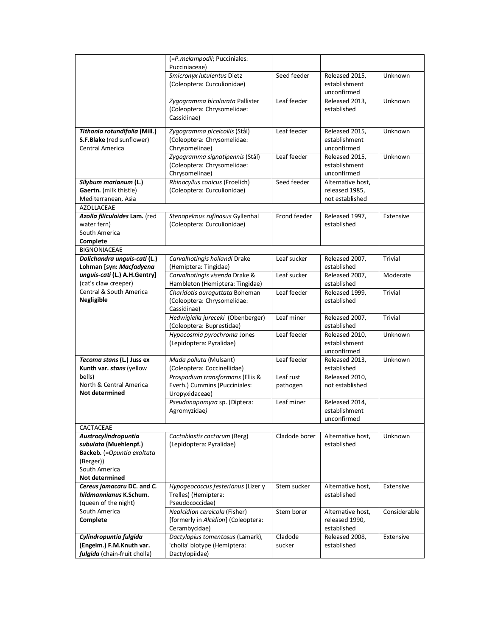|                               | (=P.melampodii; Pucciniales:        |                      |                   |                |
|-------------------------------|-------------------------------------|----------------------|-------------------|----------------|
|                               | Pucciniaceae)                       |                      |                   |                |
|                               | Smicronyx lutulentus Dietz          | Seed feeder          | Released 2015,    | Unknown        |
|                               | (Coleoptera: Curculionidae)         |                      | establishment     |                |
|                               |                                     |                      | unconfirmed       |                |
|                               | Zygogramma bicolorata Pallister     | Leaf feeder          | Released 2013,    | Unknown        |
|                               | (Coleoptera: Chrysomelidae:         |                      | established       |                |
|                               | Cassidinae)                         |                      |                   |                |
|                               |                                     |                      |                   |                |
| Tithonia rotundifolia (Mill.) | Zygogramma piceicollis (Stål)       | Leaf feeder          | Released 2015,    | Unknown        |
| S.F.Blake (red sunflower)     | (Coleoptera: Chrysomelidae:         |                      | establishment     |                |
| Central America               | Chrysomelinae)                      |                      | unconfirmed       |                |
|                               | Zygogramma signatipennis (Stål)     | Leaf feeder          | Released 2015,    | Unknown        |
|                               | (Coleoptera: Chrysomelidae:         |                      | establishment     |                |
|                               | Chrysomelinae)                      |                      | unconfirmed       |                |
| Silybum marianum (L.)         | Rhinocyllus conicus (Froelich)      | Seed feeder          | Alternative host, |                |
| Gaertn. (milk thistle)        | (Coleoptera: Curculionidae)         |                      | released 1985,    |                |
| Mediterranean, Asia           |                                     |                      | not established   |                |
| <b>AZOLLACEAE</b>             |                                     |                      |                   |                |
| Azolla filiculoides Lam. (red | Stenopelmus rufinasus Gyllenhal     | Frond feeder         | Released 1997,    | Extensive      |
| water fern)                   |                                     |                      | established       |                |
| South America                 | (Coleoptera: Curculionidae)         |                      |                   |                |
|                               |                                     |                      |                   |                |
| Complete                      |                                     |                      |                   |                |
| <b>BIGNONIACEAE</b>           |                                     |                      |                   |                |
| Dolichandra unguis-cati (L.)  | Carvalhotingis hollandi Drake       | Leaf sucker          | Released 2007,    | <b>Trivial</b> |
| Lohman [syn: Macfadyena       | (Hemiptera: Tingidae)               |                      | established       |                |
| unguis-cati (L.) A.H.Gentry]  | Carvalhotingis visenda Drake &      | Leaf sucker          | Released 2007,    | Moderate       |
| (cat's claw creeper)          | Hambleton (Hemiptera: Tingidae)     |                      | established       |                |
| Central & South America       | Charidotis auroguttata Boheman      | Leaf feeder          | Released 1999,    | <b>Trivial</b> |
| Negligible                    | (Coleoptera: Chrysomelidae:         |                      | established       |                |
|                               | Cassidinae)                         |                      |                   |                |
|                               | Hedwigiella jureceki (Obenberger)   | Leaf miner           | Released 2007,    | Trivial        |
|                               | (Coleoptera: Buprestidae)           |                      | established       |                |
|                               | Hypocosmia pyrochroma Jones         | Leaf feeder          | Released 2010,    | Unknown        |
|                               | (Lepidoptera: Pyralidae)            |                      | establishment     |                |
|                               |                                     |                      | unconfirmed       |                |
| Tecoma stans (L.) Juss ex     | Mada polluta (Mulsant)              | Leaf feeder          | Released 2013,    | Unknown        |
| Kunth var. stans (yellow      | (Coleoptera: Coccinellidae)         |                      | established       |                |
| bells)                        | Prospodium transformans (Ellis &    | Leaf rust            | Released 2010,    |                |
| North & Central America       | Everh.) Cummins (Pucciniales:       | pathogen             | not established   |                |
| Not determined                | Uropyxidaceae)                      |                      |                   |                |
|                               | Pseudonapomyza sp. (Diptera:        | Leaf miner           | Released 2014,    |                |
|                               | Agromyzidae)                        |                      | establishment     |                |
|                               |                                     |                      | unconfirmed       |                |
| CACTACEAE                     |                                     |                      |                   |                |
| Austrocylindropuntia          | Cactoblastis cactorum (Berg)        | Cladode borer        | Alternative host, | Unknown        |
| subulata (Muehlenpf.)         | (Lepidoptera: Pyralidae)            |                      | established       |                |
| Backeb. (=Opuntia exaltata    |                                     |                      |                   |                |
|                               |                                     |                      |                   |                |
| (Berger))<br>South America    |                                     |                      |                   |                |
|                               |                                     |                      |                   |                |
| Not determined                |                                     |                      |                   |                |
| Cereus jamacaru DC. and C.    | Hypogeococcus festerianus (Lizer y  | Stem sucker          | Alternative host, | Extensive      |
| hildmannianus K.Schum.        | Trelles) (Hemiptera:                |                      | established       |                |
| (queen of the night)          | Pseudococcidae)                     |                      |                   |                |
| South America                 | Nealcidion cereicola (Fisher)       | Stem borer           | Alternative host, | Considerable   |
| Complete                      | [formerly in Alcidion] (Coleoptera: |                      | released 1990,    |                |
|                               | Cerambycidae)                       |                      | established       |                |
| Cylindropuntia fulgida        | Dactylopius tomentosus (Lamark),    | $\overline{Cladode}$ | Released 2008,    | Extensive      |
| (Engelm.) F.M.Knuth var.      | 'cholla' biotype (Hemiptera:        | sucker               | established       |                |
| fulgida (chain-fruit cholla)  | Dactylopiidae)                      |                      |                   |                |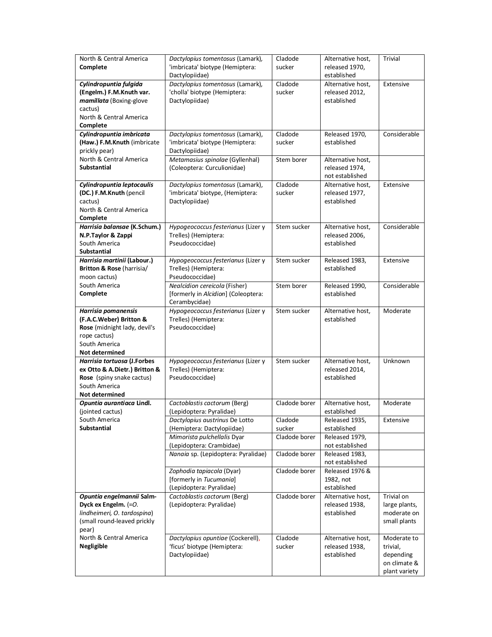| North & Central America                                      | Dactylopius tomentosus (Lamark),                           | Cladode           | Alternative host,                   | Trivial               |
|--------------------------------------------------------------|------------------------------------------------------------|-------------------|-------------------------------------|-----------------------|
| Complete                                                     | 'imbricata' biotype (Hemiptera:                            | sucker            | released 1970,                      |                       |
|                                                              | Dactylopiidae)                                             |                   | established                         |                       |
| Cylindropuntia fulgida                                       | Dactylopius tomentosus (Lamark),                           | Cladode           | Alternative host,                   | Extensive             |
| (Engelm.) F.M.Knuth var.                                     | 'cholla' biotype (Hemiptera:                               | sucker            | released 2012,                      |                       |
| mamillata (Boxing-glove                                      | Dactylopiidae)                                             |                   | established                         |                       |
| cactus)                                                      |                                                            |                   |                                     |                       |
| North & Central America                                      |                                                            |                   |                                     |                       |
| Complete<br>Cylindropuntia imbricata                         | Dactylopius tomentosus (Lamark),                           | Cladode           |                                     | Considerable          |
| (Haw.) F.M.Knuth (imbricate                                  | 'imbricata' biotype (Hemiptera:                            | sucker            | Released 1970,<br>established       |                       |
| prickly pear)                                                | Dactylopiidae)                                             |                   |                                     |                       |
| North & Central America                                      | Metamasius spinolae (Gyllenhal)                            | Stem borer        | Alternative host,                   |                       |
| <b>Substantial</b>                                           | (Coleoptera: Curculionidae)                                |                   | released 1974,                      |                       |
|                                                              |                                                            |                   | not established                     |                       |
| Cylindropuntia leptocaulis                                   | Dactylopius tomentosus (Lamark),                           | Cladode           | Alternative host,                   | Extensive             |
| (DC.) F.M.Knuth (pencil                                      | 'imbricata' biotype, (Hemiptera:                           | sucker            | released 1977,                      |                       |
| cactus)                                                      | Dactylopiidae)                                             |                   | established                         |                       |
| North & Central America                                      |                                                            |                   |                                     |                       |
| Complete                                                     |                                                            |                   |                                     |                       |
| Harrisia balansae (K.Schum.)                                 | Hypogeococcus festerianus (Lizer y                         | Stem sucker       | Alternative host,                   | Considerable          |
| N.P.Taylor & Zappi                                           | Trelles) (Hemiptera:                                       |                   | released 2006,                      |                       |
| South America                                                | Pseudococcidae)                                            |                   | established                         |                       |
| Substantial                                                  |                                                            |                   |                                     |                       |
| Harrisia martinii (Labour.)                                  | Hypogeococcus festerianus (Lizer y                         | Stem sucker       | Released 1983,                      | Extensive             |
| Britton & Rose (harrisia/                                    | Trelles) (Hemiptera:                                       |                   | established                         |                       |
| moon cactus)                                                 | Pseudococcidae)                                            |                   |                                     |                       |
| South America                                                | Nealcidion cereicola (Fisher)                              | Stem borer        | Released 1990,                      | Considerable          |
| Complete                                                     | [formerly in Alcidion] (Coleoptera:                        |                   | established                         |                       |
|                                                              | Cerambycidae)                                              |                   |                                     |                       |
| Harrisia pomanensis<br>(F.A.C.Weber) Britton &               | Hypogeococcus festerianus (Lizer y<br>Trelles) (Hemiptera: | Stem sucker       | Alternative host,<br>established    | Moderate              |
|                                                              |                                                            |                   |                                     |                       |
|                                                              |                                                            |                   |                                     |                       |
| Rose (midnight lady, devil's                                 | Pseudococcidae)                                            |                   |                                     |                       |
| rope cactus)                                                 |                                                            |                   |                                     |                       |
| South America                                                |                                                            |                   |                                     |                       |
| <b>Not determined</b>                                        |                                                            |                   |                                     | Unknown               |
| Harrisia tortuosa (J.Forbes<br>ex Otto & A.Dietr.) Britton & | Hypogeococcus festerianus (Lizer y                         | Stem sucker       | Alternative host,<br>released 2014, |                       |
| Rose (spiny snake cactus)                                    | Trelles) (Hemiptera:<br>Pseudococcidae)                    |                   | established                         |                       |
| South America                                                |                                                            |                   |                                     |                       |
| Not determined                                               |                                                            |                   |                                     |                       |
| Opuntia aurantiaca Lindl.                                    | Cactoblastis cactorum (Berg)                               | Cladode borer     | Alternative host,                   | Moderate              |
| (jointed cactus)                                             | (Lepidoptera: Pyralidae)                                   |                   | established                         |                       |
| South America                                                | Dactylopius austrinus De Lotto                             | Cladode           | Released 1935,                      | Extensive             |
| <b>Substantial</b>                                           | (Hemiptera: Dactylopiidae)                                 | sucker            | established                         |                       |
|                                                              | Mimorista pulchellalis Dyar                                | Cladode borer     | Released 1979,                      |                       |
|                                                              | (Lepidoptera: Crambidae)                                   |                   | not established                     |                       |
|                                                              | Nanaia sp. (Lepidoptera: Pyralidae)                        | Cladode borer     | Released 1983,                      |                       |
|                                                              |                                                            |                   | not established                     |                       |
|                                                              | Zophodia tapiacola (Dyar)                                  | Cladode borer     | Released 1976 &                     |                       |
|                                                              | [formerly in Tucumania]                                    |                   | 1982, not                           |                       |
|                                                              | (Lepidoptera: Pyralidae)                                   |                   | established                         |                       |
| Opuntia engelmannii Salm-                                    | Cactoblastis cactorum (Berg)                               | Cladode borer     | Alternative host,                   | Trivial on            |
| Dyck ex Engelm. (=O.                                         | (Lepidoptera: Pyralidae)                                   |                   | released 1938,                      | large plants,         |
| lindheimeri, O. tardospina)                                  |                                                            |                   | established                         | moderate on           |
| (small round-leaved prickly                                  |                                                            |                   |                                     | small plants          |
| pear)                                                        |                                                            |                   |                                     |                       |
| North & Central America                                      | Dactylopius opuntiae (Cockerell),                          | Cladode<br>sucker | Alternative host,                   | Moderate to           |
| Negligible                                                   | 'ficus' biotype (Hemiptera:<br>Dactylopiidae)              |                   | released 1938,<br>established       | trivial,<br>depending |
|                                                              |                                                            |                   |                                     | on climate &          |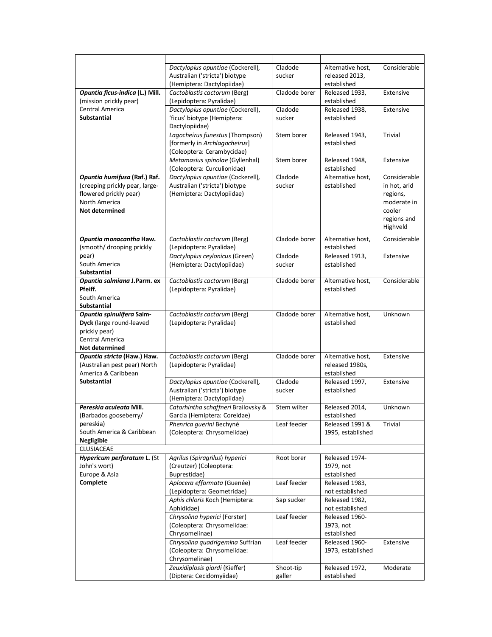|                                 | Dactylopius opuntiae (Cockerell),   | Cladode       | Alternative host, | Considerable |
|---------------------------------|-------------------------------------|---------------|-------------------|--------------|
|                                 | Australian ('stricta') biotype      | sucker        | released 2013,    |              |
|                                 | (Hemiptera: Dactylopiidae)          |               | established       |              |
| Opuntia ficus-indica (L.) Mill. | Cactoblastis cactorum (Berg)        | Cladode borer | Released 1933,    | Extensive    |
| (mission prickly pear)          | (Lepidoptera: Pyralidae)            |               | established       |              |
| Central America                 | Dactylopius opuntiae (Cockerell),   | Cladode       | Released 1938,    | Extensive    |
| <b>Substantial</b>              | 'ficus' biotype (Hemiptera:         | sucker        | established       |              |
|                                 | Dactylopiidae)                      |               |                   |              |
|                                 | Lagocheirus funestus (Thompson)     | Stem borer    | Released 1943,    | Trivial      |
|                                 | [formerly in Archlagocheirus]       |               | established       |              |
|                                 | (Coleoptera: Cerambycidae)          |               |                   |              |
|                                 | Metamasius spinolae (Gyllenhal)     | Stem borer    | Released 1948,    | Extensive    |
|                                 | (Coleoptera: Curculionidae)         |               | established       |              |
| Opuntia humifusa (Raf.) Raf.    | Dactylopius opuntiae (Cockerell),   | Cladode       | Alternative host, | Considerable |
| (creeping prickly pear, large-  | Australian ('stricta') biotype      | sucker        | established       | in hot, arid |
| flowered prickly pear)          | (Hemiptera: Dactylopiidae)          |               |                   | regions,     |
| North America                   |                                     |               |                   | moderate in  |
| <b>Not determined</b>           |                                     |               |                   | cooler       |
|                                 |                                     |               |                   | regions and  |
|                                 |                                     |               |                   | Highveld     |
|                                 |                                     |               |                   |              |
| Opuntia monacantha Haw.         | Cactoblastis cactorum (Berg)        | Cladode borer | Alternative host, | Considerable |
| (smooth/ drooping prickly       | (Lepidoptera: Pyralidae)            |               | established       |              |
| pear)                           | Dactylopius ceylonicus (Green)      | Cladode       | Released 1913,    | Extensive    |
| South America                   | (Hemiptera: Dactylopiidae)          | sucker        | established       |              |
| <b>Substantial</b>              |                                     |               |                   |              |
| Opuntia salmiana J.Parm. ex     | Cactoblastis cactorum (Berg)        | Cladode borer | Alternative host, | Considerable |
| Pfeiff.                         | (Lepidoptera: Pyralidae)            |               | established       |              |
| South America                   |                                     |               |                   |              |
| Substantial                     |                                     |               |                   |              |
| Opuntia spinulifera Salm-       | Cactoblastis cactorum (Berg)        | Cladode borer | Alternative host, | Unknown      |
| Dyck (large round-leaved        | (Lepidoptera: Pyralidae)            |               | established       |              |
| prickly pear)                   |                                     |               |                   |              |
| Central America                 |                                     |               |                   |              |
| <b>Not determined</b>           |                                     |               |                   |              |
| Opuntia stricta (Haw.) Haw.     | Cactoblastis cactorum (Berg)        | Cladode borer | Alternative host, | Extensive    |
| (Australian pest pear) North    | (Lepidoptera: Pyralidae)            |               | released 1980s,   |              |
| America & Caribbean             |                                     |               | established       |              |
| <b>Substantial</b>              | Dactylopius opuntiae (Cockerell),   | Cladode       | Released 1997,    | Extensive    |
|                                 | Australian ('stricta') biotype      | sucker        | established       |              |
|                                 | (Hemiptera: Dactylopiidae)          |               |                   |              |
| Pereskia aculeata Mill.         | Catorhintha schaffneri Brailovsky & | Stem wilter   | Released 2014,    | Unknown      |
| (Barbados gooseberry/           | Garcia (Hemiptera: Coreidae)        |               | established       |              |
| pereskia)                       | Phenrica guerini Bechyné            | Leaf feeder   | Released 1991 &   | Trivial      |
| South America & Caribbean       | (Coleoptera: Chrysomelidae)         |               | 1995, established |              |
| Negligible                      |                                     |               |                   |              |
| <b>CLUSIACEAE</b>               |                                     |               |                   |              |
| Hypericum perforatum L. (St     | Agrilus (Spiragrilus) hyperici      | Root borer    | Released 1974-    |              |
| John's wort)                    | (Creutzer) (Coleoptera:             |               | 1979, not         |              |
| Europe & Asia                   | Buprestidae)                        |               | established       |              |
| Complete                        | Aplocera efformata (Guenée)         | Leaf feeder   | Released 1983,    |              |
|                                 | (Lepidoptera: Geometridae)          |               | not established   |              |
|                                 | Aphis chloris Koch (Hemiptera:      | Sap sucker    | Released 1982,    |              |
|                                 | Aphididae)                          |               | not established   |              |
|                                 | Chrysolina hyperici (Forster)       | Leaf feeder   | Released 1960-    |              |
|                                 | (Coleoptera: Chrysomelidae:         |               | 1973, not         |              |
|                                 | Chrysomelinae)                      |               | established       |              |
|                                 | Chrysolina quadrigemina Suffrian    | Leaf feeder   | Released 1960-    | Extensive    |
|                                 | (Coleoptera: Chrysomelidae:         |               | 1973, established |              |
|                                 | Chrysomelinae)                      |               |                   |              |
|                                 | Zeuxidiplosis giardi (Kieffer)      | Shoot-tip     | Released 1972,    | Moderate     |
|                                 | (Diptera: Cecidomyiidae)            | galler        | established       |              |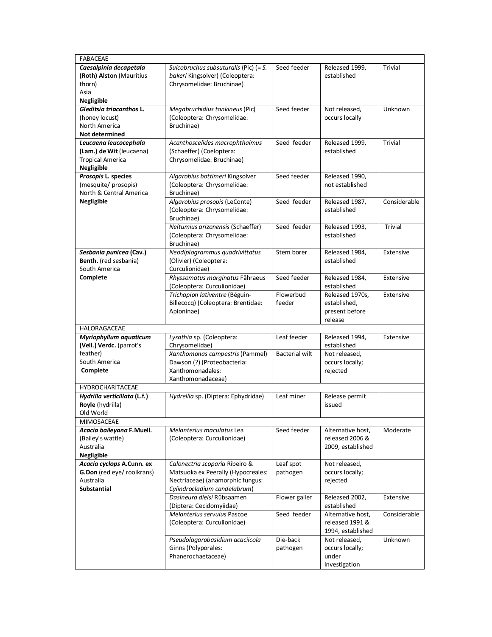| <b>FABACEAE</b>                                         |                                                                      |                       |                                  |                |
|---------------------------------------------------------|----------------------------------------------------------------------|-----------------------|----------------------------------|----------------|
| Caesalpinia decapetala                                  | Sulcobruchus subsuturalis (Pic) (= S.                                | Seed feeder           | Released 1999,                   | Trivial        |
| (Roth) Alston (Mauritius                                | bakeri Kingsolver) (Coleoptera:                                      |                       | established                      |                |
| thorn)                                                  | Chrysomelidae: Bruchinae)                                            |                       |                                  |                |
| Asia                                                    |                                                                      |                       |                                  |                |
| Negligible                                              |                                                                      |                       |                                  |                |
| Gleditsia triacanthos L.                                | Megabruchidius tonkineus (Pic)                                       | Seed feeder           | Not released,                    | Unknown        |
| (honey locust)                                          | (Coleoptera: Chrysomelidae:                                          |                       | occurs locally                   |                |
| North America                                           | Bruchinae)                                                           |                       |                                  |                |
| <b>Not determined</b>                                   |                                                                      |                       |                                  |                |
| Leucaena leucocephala                                   | Acanthoscelides macrophthalmus                                       | Seed feeder           | Released 1999,                   | <b>Trivial</b> |
| (Lam.) de Wit (leucaena)                                | (Schaeffer) (Coeloptera:                                             |                       | established                      |                |
| <b>Tropical America</b>                                 | Chrysomelidae: Bruchinae)                                            |                       |                                  |                |
| Negligible                                              |                                                                      |                       |                                  |                |
| Prosopis L. species                                     | Algarobius bottimeri Kingsolver                                      | Seed feeder           | Released 1990,                   |                |
| (mesquite/ prosopis)                                    | (Coleoptera: Chrysomelidae:                                          |                       | not established                  |                |
| North & Central America                                 | Bruchinae)                                                           |                       |                                  |                |
| Negligible                                              | Algarobius prosopis (LeConte)                                        | Seed feeder           | Released 1987,                   | Considerable   |
|                                                         | (Coleoptera: Chrysomelidae:                                          |                       | established                      |                |
|                                                         | Bruchinae)                                                           |                       |                                  |                |
|                                                         | Neltumius arizonensis (Schaeffer)                                    | Seed feeder           | Released 1993,                   | <b>Trivial</b> |
|                                                         | (Coleoptera: Chrysomelidae:                                          |                       | established                      |                |
|                                                         | Bruchinae)                                                           |                       |                                  |                |
| Sesbania punicea (Cav.)                                 | Neodiplogrammus quadrivittatus                                       | Stem borer            | Released 1984.                   | Extensive      |
| Benth. (red sesbania)                                   | (Olivier) (Coleoptera:                                               |                       | established                      |                |
| South America                                           | Curculionidae)                                                       |                       |                                  |                |
| Complete                                                | Rhyssomatus marginatus Fåhraeus                                      | Seed feeder           | Released 1984,                   | Extensive      |
|                                                         | (Coleoptera: Curculionidae)                                          |                       | established                      |                |
|                                                         | Trichapion lativentre (Béguin-                                       | Flowerbud             | Released 1970s,                  | Extensive      |
|                                                         | Billecocq) (Coleoptera: Brentidae:                                   | feeder                | established,                     |                |
|                                                         | Apioninae)                                                           |                       | present before                   |                |
|                                                         |                                                                      |                       |                                  |                |
|                                                         |                                                                      |                       | release                          |                |
| HALORAGACEAE                                            |                                                                      |                       |                                  |                |
| Myriophyllum aquaticum                                  | Lysathia sp. (Coleoptera:                                            | Leaf feeder           | Released 1994,                   | Extensive      |
| (Vell.) Verdc. (parrot's                                | Chrysomelidae)                                                       |                       | established                      |                |
| feather)                                                |                                                                      | <b>Bacterial wilt</b> | Not released,                    |                |
| South America                                           | Xanthomonas campestris (Pammel)                                      |                       |                                  |                |
| Complete                                                | Dawson (?) (Proteobacteria:<br>Xanthomonadales:                      |                       | occurs locally;                  |                |
|                                                         | Xanthomonadaceae)                                                    |                       | rejected                         |                |
| <b>HYDROCHARITACEAE</b>                                 |                                                                      |                       |                                  |                |
|                                                         |                                                                      | Leaf miner            |                                  |                |
| Hydrilla verticillata (L.f.)                            | Hydrellia sp. (Diptera: Ephydridae)                                  |                       | Release permit<br>issued         |                |
| Royle (hydrilla)<br>Old World                           |                                                                      |                       |                                  |                |
| MIMOSACEAE                                              |                                                                      |                       |                                  |                |
| Acacia baileyana F.Muell.                               | Melanterius maculatus Lea                                            | Seed feeder           | Alternative host,                | Moderate       |
| (Bailey's wattle)                                       |                                                                      |                       | released 2006 &                  |                |
| Australia                                               | (Coleoptera: Curculionidae)                                          |                       | 2009, established                |                |
|                                                         |                                                                      |                       |                                  |                |
| Negligible                                              |                                                                      |                       |                                  |                |
| Acacia cyclops A.Cunn. ex<br>G.Don (red eye/ rooikrans) | Calonectria scoparia Ribeiro &<br>Matsuoka ex Peerally (Hypocreales: | Leaf spot<br>pathogen | Not released,<br>occurs locally; |                |
| Australia                                               | Nectriaceae) (anamorphic fungus:                                     |                       | rejected                         |                |
| <b>Substantial</b>                                      | Cylindrocladium candelabrum)                                         |                       |                                  |                |
|                                                         | Dasineura dielsi Rübsaamen                                           | Flower galler         | Released 2002,                   | Extensive      |
|                                                         | (Diptera: Cecidomyiidae)                                             |                       | established                      |                |
|                                                         | Melanterius servulus Pascoe                                          | Seed feeder           | Alternative host,                | Considerable   |
|                                                         | (Coleoptera: Curculionidae)                                          |                       | released 1991 &                  |                |
|                                                         |                                                                      |                       | 1994, established                |                |
|                                                         |                                                                      | Die-back              | Not released,                    | Unknown        |
|                                                         | Pseudolagarobasidium acaciicola                                      |                       |                                  |                |
|                                                         | Ginns (Polyporales:<br>Phanerochaetaceae)                            | pathogen              | occurs locally;<br>under         |                |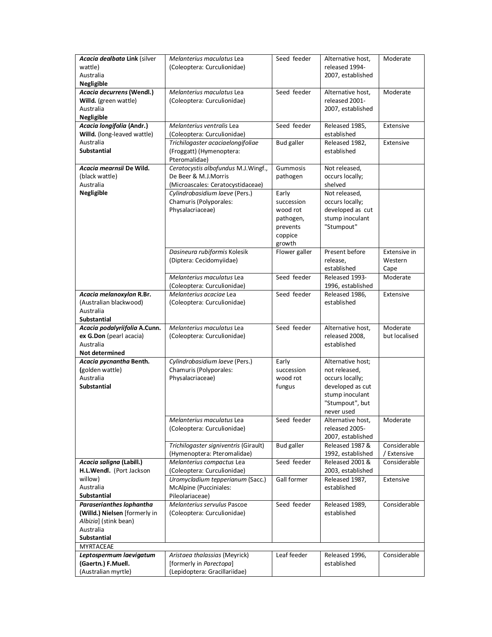| Acacia dealbata Link (silver                         | Melanterius maculatus Lea                                            | Seed feeder       | Alternative host,                    | Moderate      |
|------------------------------------------------------|----------------------------------------------------------------------|-------------------|--------------------------------------|---------------|
| wattle)                                              | (Coleoptera: Curculionidae)                                          |                   | released 1994-                       |               |
| Australia                                            |                                                                      |                   | 2007, established                    |               |
| Negligible                                           |                                                                      |                   |                                      |               |
| Acacia decurrens (Wendl.)                            | Melanterius maculatus Lea                                            | Seed feeder       | Alternative host,                    | Moderate      |
| Willd. (green wattle)                                | (Coleoptera: Curculionidae)                                          |                   | released 2001-                       |               |
| Australia                                            |                                                                      |                   | 2007, established                    |               |
| Negligible                                           |                                                                      |                   |                                      |               |
| Acacia longifolia (Andr.)                            | Melanterius ventralis Lea                                            | Seed feeder       | Released 1985,                       | Extensive     |
| Willd. (long-leaved wattle)                          | (Coleoptera: Curculionidae)                                          |                   | established                          |               |
| Australia                                            | Trichilogaster acaciaelongifoliae                                    | <b>Bud galler</b> | Released 1982,                       | Extensive     |
| <b>Substantial</b>                                   | (Froggatt) (Hymenoptera:                                             |                   | established                          |               |
|                                                      | Pteromalidae)                                                        |                   |                                      |               |
| Acacia mearnsii De Wild.                             | Ceratocystis albofundus M.J.Wingf.,                                  | Gummosis          | Not released,                        |               |
| (black wattle)                                       | De Beer & M.J.Morris                                                 | pathogen          | occurs locally;                      |               |
| Australia                                            | (Microascales: Ceratocystidaceae)                                    |                   | shelved                              |               |
| Negligible                                           | Cylindrobasidium laeve (Pers.)                                       | Early             | Not released,                        |               |
|                                                      | Chamuris (Polyporales:                                               | succession        | occurs locally;                      |               |
|                                                      | Physalacriaceae)                                                     | wood rot          | developed as cut                     |               |
|                                                      |                                                                      | pathogen,         | stump inoculant                      |               |
|                                                      |                                                                      | prevents          | "Stumpout"                           |               |
|                                                      |                                                                      | coppice           |                                      |               |
|                                                      |                                                                      | growth            |                                      |               |
|                                                      | Dasineura rubiformis Kolesik                                         | Flower galler     | Present before                       | Extensive in  |
|                                                      | (Diptera: Cecidomyiidae)                                             |                   | release,                             | Western       |
|                                                      |                                                                      |                   | established                          | Cape          |
|                                                      | Melanterius maculatus Lea                                            | Seed feeder       | Released 1993-                       | Moderate      |
|                                                      | (Coleoptera: Curculionidae)                                          |                   | 1996, established                    |               |
| Acacia melanoxylon R.Br.                             | Melanterius acaciae Lea                                              | Seed feeder       | Released 1986,                       | Extensive     |
| (Australian blackwood)                               | (Coleoptera: Curculionidae)                                          |                   | established                          |               |
| Australia                                            |                                                                      |                   |                                      |               |
| <b>Substantial</b>                                   |                                                                      |                   |                                      |               |
| Acacia podalyriifolia A.Cunn.                        | Melanterius maculatus Lea                                            | Seed feeder       | Alternative host,                    | Moderate      |
| ex G.Don (pearl acacia)                              | (Coleoptera: Curculionidae)                                          |                   | released 2008,                       | but localised |
|                                                      |                                                                      |                   |                                      |               |
| Australia                                            |                                                                      |                   | established                          |               |
| Not determined                                       |                                                                      |                   |                                      |               |
| Acacia pycnantha Benth.                              | Cylindrobasidium laeve (Pers.)                                       | Early             | Alternative host;                    |               |
| (golden wattle)                                      | Chamuris (Polyporales:                                               | succession        | not released,                        |               |
| Australia                                            | Physalacriaceae)                                                     | wood rot          | occurs locally;                      |               |
| <b>Substantial</b>                                   |                                                                      | fungus            | developed as cut                     |               |
|                                                      |                                                                      |                   | stump inoculant                      |               |
|                                                      |                                                                      |                   | "Stumpout", but                      |               |
|                                                      |                                                                      |                   | never used                           |               |
|                                                      | Melanterius maculatus Lea                                            | Seed feeder       | Alternative host,                    | Moderate      |
|                                                      | (Coleoptera: Curculionidae)                                          |                   | released 2005-                       |               |
|                                                      |                                                                      |                   | 2007, established<br>Released 1987 & | Considerable  |
|                                                      | Trichilogaster signiventris (Girault)<br>(Hymenoptera: Pteromalidae) | <b>Bud galler</b> | 1992, established                    | / Extensive   |
|                                                      |                                                                      | Seed feeder       | Released 2001 &                      | Considerable  |
| Acacia saligna (Labill.)<br>H.L.Wendl. (Port Jackson | Melanterius compactus Lea                                            |                   |                                      |               |
| willow)                                              | (Coleoptera: Curculionidae)                                          | Gall former       | 2003, established                    | Extensive     |
| Australia                                            | Uromycladium tepperianum (Sacc.)<br>McAlpine (Pucciniales:           |                   | Released 1987,<br>established        |               |
| <b>Substantial</b>                                   | Pileolariaceae)                                                      |                   |                                      |               |
| Paraserianthes lophantha                             | Melanterius servulus Pascoe                                          | Seed feeder       | Released 1989,                       | Considerable  |
| (Willd.) Nielsen [formerly in                        | (Coleoptera: Curculionidae)                                          |                   | established                          |               |
| Albizia] (stink bean)                                |                                                                      |                   |                                      |               |
| Australia                                            |                                                                      |                   |                                      |               |
| Substantial                                          |                                                                      |                   |                                      |               |
| MYRTACEAE                                            |                                                                      |                   |                                      |               |
| Leptospermum laevigatum                              | Aristaea thalassias (Meyrick)                                        | Leaf feeder       | Released 1996,                       | Considerable  |
| (Gaertn.) F.Muell.<br>(Australian myrtle)            | [formerly in Parectopa]<br>(Lepidoptera: Gracillariidae)             |                   | established                          |               |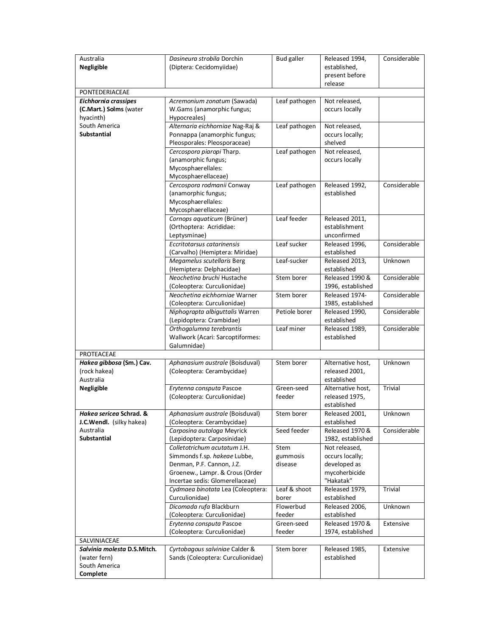| release<br>PONTEDERIACEAE<br>Not released,<br><b>Eichhornia crassipes</b><br>Acremonium zonatum (Sawada)<br>Leaf pathogen<br>(C.Mart.) Solms (water<br>W.Gams (anamorphic fungus;<br>occurs locally<br>hyacinth)<br>Hypocreales)<br>South America<br>Alternaria eichhorniae Nag-Raj &<br>Leaf pathogen<br>Not released,<br><b>Substantial</b><br>Ponnappa (anamorphic fungus;<br>occurs locally;<br>Pleosporales: Pleosporaceae)<br>shelved<br>Leaf pathogen<br>Cercospora piaropi Tharp.<br>Not released,<br>(anamorphic fungus;<br>occurs locally<br>Mycosphaerellales:<br>Mycosphaerellaceae)<br>Cercospora rodmanii Conway<br>Leaf pathogen<br>Considerable<br>Released 1992,<br>established<br>(anamorphic fungus;<br>Mycosphaerellales:<br>Mycosphaerellaceae)<br>Leaf feeder<br>Cornops aquaticum (Brüner)<br>Released 2011,<br>establishment<br>(Orthoptera: Acrididae:<br>Leptysminae)<br>unconfirmed<br>Eccritotarsus catarinensis<br>Released 1996,<br>Considerable<br>Leaf sucker<br>(Carvalho) (Hemiptera: Miridae)<br>established<br>Released 2013,<br>Unknown<br>Megamelus scutellaris Berg<br>Leaf-sucker<br>established<br>(Hemiptera: Delphacidae)<br>Neochetina bruchi Hustache<br>Considerable<br>Stem borer<br>Released 1990 &<br>(Coleoptera: Curculionidae)<br>1996, established<br>Neochetina eichhorniae Warner<br>Considerable<br>Stem borer<br>Released 1974-<br>(Coleoptera: Curculionidae)<br>1985, established<br>Niphograpta albiguttalis Warren<br>Considerable<br>Petiole borer<br>Released 1990,<br>(Lepidoptera: Crambidae)<br>established<br>Orthogalumna terebrantis<br>Released 1989,<br>Considerable<br>Leaf miner<br>Wallwork (Acari: Sarcoptiformes:<br>established<br>Galumnidae)<br>PROTEACEAE<br>Aphanasium australe (Boisduval)<br>Hakea gibbosa (Sm.) Cav.<br>Stem borer<br>Alternative host,<br>Unknown<br>(rock hakea)<br>(Coleoptera: Cerambycidae)<br>released 2001,<br>Australia<br>established<br>Erytenna consputa Pascoe<br>Green-seed<br>Trivial<br>Negligible<br>Alternative host,<br>(Coleoptera: Curculionidae)<br>feeder<br>released 1975,<br>established<br>Aphanasium australe (Boisduval)<br>Stem borer<br>Hakea sericea Schrad. &<br>Released 2001,<br>Unknown<br>J.C.Wendl. (silky hakea)<br>(Coleoptera: Cerambycidae)<br>established<br>Australia<br>Carposina autologa Meyrick<br>Seed feeder<br>Considerable<br>Released 1970 &<br><b>Substantial</b><br>(Lepidoptera: Carposinidae)<br>1982, established<br>Colletotrichum acutatum J.H.<br>Stem<br>Not released,<br>Simmonds f.sp. hakeae Lubbe,<br>gummosis<br>occurs locally;<br>developed as<br>Denman, P.F. Cannon, J.Z.<br>disease<br>Groenew., Lampr. & Crous (Order<br>mycoherbicide<br>"Hakatak"<br>Incertae sedis: Glomerellaceae)<br>Cydmaea binotata Lea (Coleoptera:<br>Leaf & shoot<br>Released 1979,<br>Trivial<br>Curculionidae)<br>borer<br>established<br>Dicomada rufa Blackburn<br>Released 2006,<br>Flowerbud<br>Unknown<br>(Coleoptera: Curculionidae)<br>feeder<br>established<br>Erytenna consputa Pascoe<br>Released 1970 &<br>Green-seed<br>Extensive<br>(Coleoptera: Curculionidae)<br>feeder<br>1974, established<br>SALVINIACEAE<br>Cyrtobagous salviniae Calder &<br>Salvinia molesta D.S.Mitch.<br>Stem borer<br>Released 1985,<br>Extensive<br>Sands (Coleoptera: Curculionidae)<br>established<br>(water fern)<br>South America | Australia<br><b>Negligible</b> | Dasineura strobila Dorchin<br>(Diptera: Cecidomyiidae) | <b>Bud galler</b> | Released 1994,<br>established,<br>present before | Considerable |
|---------------------------------------------------------------------------------------------------------------------------------------------------------------------------------------------------------------------------------------------------------------------------------------------------------------------------------------------------------------------------------------------------------------------------------------------------------------------------------------------------------------------------------------------------------------------------------------------------------------------------------------------------------------------------------------------------------------------------------------------------------------------------------------------------------------------------------------------------------------------------------------------------------------------------------------------------------------------------------------------------------------------------------------------------------------------------------------------------------------------------------------------------------------------------------------------------------------------------------------------------------------------------------------------------------------------------------------------------------------------------------------------------------------------------------------------------------------------------------------------------------------------------------------------------------------------------------------------------------------------------------------------------------------------------------------------------------------------------------------------------------------------------------------------------------------------------------------------------------------------------------------------------------------------------------------------------------------------------------------------------------------------------------------------------------------------------------------------------------------------------------------------------------------------------------------------------------------------------------------------------------------------------------------------------------------------------------------------------------------------------------------------------------------------------------------------------------------------------------------------------------------------------------------------------------------------------------------------------------------------------------------------------------------------------------------------------------------------------------------------------------------------------------------------------------------------------------------------------------------------------------------------------------------------------------------------------------------------------------------------------------------------------------------------------------------------------------------------------------------------------------------------------------------------------------------------------------------------------------------------------------------------------------------------------------------------------------------------------------------------------------------|--------------------------------|--------------------------------------------------------|-------------------|--------------------------------------------------|--------------|
|                                                                                                                                                                                                                                                                                                                                                                                                                                                                                                                                                                                                                                                                                                                                                                                                                                                                                                                                                                                                                                                                                                                                                                                                                                                                                                                                                                                                                                                                                                                                                                                                                                                                                                                                                                                                                                                                                                                                                                                                                                                                                                                                                                                                                                                                                                                                                                                                                                                                                                                                                                                                                                                                                                                                                                                                                                                                                                                                                                                                                                                                                                                                                                                                                                                                                                                                                                                       |                                |                                                        |                   |                                                  |              |
|                                                                                                                                                                                                                                                                                                                                                                                                                                                                                                                                                                                                                                                                                                                                                                                                                                                                                                                                                                                                                                                                                                                                                                                                                                                                                                                                                                                                                                                                                                                                                                                                                                                                                                                                                                                                                                                                                                                                                                                                                                                                                                                                                                                                                                                                                                                                                                                                                                                                                                                                                                                                                                                                                                                                                                                                                                                                                                                                                                                                                                                                                                                                                                                                                                                                                                                                                                                       |                                |                                                        |                   |                                                  |              |
|                                                                                                                                                                                                                                                                                                                                                                                                                                                                                                                                                                                                                                                                                                                                                                                                                                                                                                                                                                                                                                                                                                                                                                                                                                                                                                                                                                                                                                                                                                                                                                                                                                                                                                                                                                                                                                                                                                                                                                                                                                                                                                                                                                                                                                                                                                                                                                                                                                                                                                                                                                                                                                                                                                                                                                                                                                                                                                                                                                                                                                                                                                                                                                                                                                                                                                                                                                                       |                                |                                                        |                   |                                                  |              |
|                                                                                                                                                                                                                                                                                                                                                                                                                                                                                                                                                                                                                                                                                                                                                                                                                                                                                                                                                                                                                                                                                                                                                                                                                                                                                                                                                                                                                                                                                                                                                                                                                                                                                                                                                                                                                                                                                                                                                                                                                                                                                                                                                                                                                                                                                                                                                                                                                                                                                                                                                                                                                                                                                                                                                                                                                                                                                                                                                                                                                                                                                                                                                                                                                                                                                                                                                                                       |                                |                                                        |                   |                                                  |              |
|                                                                                                                                                                                                                                                                                                                                                                                                                                                                                                                                                                                                                                                                                                                                                                                                                                                                                                                                                                                                                                                                                                                                                                                                                                                                                                                                                                                                                                                                                                                                                                                                                                                                                                                                                                                                                                                                                                                                                                                                                                                                                                                                                                                                                                                                                                                                                                                                                                                                                                                                                                                                                                                                                                                                                                                                                                                                                                                                                                                                                                                                                                                                                                                                                                                                                                                                                                                       |                                |                                                        |                   |                                                  |              |
|                                                                                                                                                                                                                                                                                                                                                                                                                                                                                                                                                                                                                                                                                                                                                                                                                                                                                                                                                                                                                                                                                                                                                                                                                                                                                                                                                                                                                                                                                                                                                                                                                                                                                                                                                                                                                                                                                                                                                                                                                                                                                                                                                                                                                                                                                                                                                                                                                                                                                                                                                                                                                                                                                                                                                                                                                                                                                                                                                                                                                                                                                                                                                                                                                                                                                                                                                                                       |                                |                                                        |                   |                                                  |              |
|                                                                                                                                                                                                                                                                                                                                                                                                                                                                                                                                                                                                                                                                                                                                                                                                                                                                                                                                                                                                                                                                                                                                                                                                                                                                                                                                                                                                                                                                                                                                                                                                                                                                                                                                                                                                                                                                                                                                                                                                                                                                                                                                                                                                                                                                                                                                                                                                                                                                                                                                                                                                                                                                                                                                                                                                                                                                                                                                                                                                                                                                                                                                                                                                                                                                                                                                                                                       |                                |                                                        |                   |                                                  |              |
|                                                                                                                                                                                                                                                                                                                                                                                                                                                                                                                                                                                                                                                                                                                                                                                                                                                                                                                                                                                                                                                                                                                                                                                                                                                                                                                                                                                                                                                                                                                                                                                                                                                                                                                                                                                                                                                                                                                                                                                                                                                                                                                                                                                                                                                                                                                                                                                                                                                                                                                                                                                                                                                                                                                                                                                                                                                                                                                                                                                                                                                                                                                                                                                                                                                                                                                                                                                       |                                |                                                        |                   |                                                  |              |
|                                                                                                                                                                                                                                                                                                                                                                                                                                                                                                                                                                                                                                                                                                                                                                                                                                                                                                                                                                                                                                                                                                                                                                                                                                                                                                                                                                                                                                                                                                                                                                                                                                                                                                                                                                                                                                                                                                                                                                                                                                                                                                                                                                                                                                                                                                                                                                                                                                                                                                                                                                                                                                                                                                                                                                                                                                                                                                                                                                                                                                                                                                                                                                                                                                                                                                                                                                                       |                                |                                                        |                   |                                                  |              |
|                                                                                                                                                                                                                                                                                                                                                                                                                                                                                                                                                                                                                                                                                                                                                                                                                                                                                                                                                                                                                                                                                                                                                                                                                                                                                                                                                                                                                                                                                                                                                                                                                                                                                                                                                                                                                                                                                                                                                                                                                                                                                                                                                                                                                                                                                                                                                                                                                                                                                                                                                                                                                                                                                                                                                                                                                                                                                                                                                                                                                                                                                                                                                                                                                                                                                                                                                                                       |                                |                                                        |                   |                                                  |              |
|                                                                                                                                                                                                                                                                                                                                                                                                                                                                                                                                                                                                                                                                                                                                                                                                                                                                                                                                                                                                                                                                                                                                                                                                                                                                                                                                                                                                                                                                                                                                                                                                                                                                                                                                                                                                                                                                                                                                                                                                                                                                                                                                                                                                                                                                                                                                                                                                                                                                                                                                                                                                                                                                                                                                                                                                                                                                                                                                                                                                                                                                                                                                                                                                                                                                                                                                                                                       |                                |                                                        |                   |                                                  |              |
|                                                                                                                                                                                                                                                                                                                                                                                                                                                                                                                                                                                                                                                                                                                                                                                                                                                                                                                                                                                                                                                                                                                                                                                                                                                                                                                                                                                                                                                                                                                                                                                                                                                                                                                                                                                                                                                                                                                                                                                                                                                                                                                                                                                                                                                                                                                                                                                                                                                                                                                                                                                                                                                                                                                                                                                                                                                                                                                                                                                                                                                                                                                                                                                                                                                                                                                                                                                       |                                |                                                        |                   |                                                  |              |
|                                                                                                                                                                                                                                                                                                                                                                                                                                                                                                                                                                                                                                                                                                                                                                                                                                                                                                                                                                                                                                                                                                                                                                                                                                                                                                                                                                                                                                                                                                                                                                                                                                                                                                                                                                                                                                                                                                                                                                                                                                                                                                                                                                                                                                                                                                                                                                                                                                                                                                                                                                                                                                                                                                                                                                                                                                                                                                                                                                                                                                                                                                                                                                                                                                                                                                                                                                                       |                                |                                                        |                   |                                                  |              |
|                                                                                                                                                                                                                                                                                                                                                                                                                                                                                                                                                                                                                                                                                                                                                                                                                                                                                                                                                                                                                                                                                                                                                                                                                                                                                                                                                                                                                                                                                                                                                                                                                                                                                                                                                                                                                                                                                                                                                                                                                                                                                                                                                                                                                                                                                                                                                                                                                                                                                                                                                                                                                                                                                                                                                                                                                                                                                                                                                                                                                                                                                                                                                                                                                                                                                                                                                                                       |                                |                                                        |                   |                                                  |              |
|                                                                                                                                                                                                                                                                                                                                                                                                                                                                                                                                                                                                                                                                                                                                                                                                                                                                                                                                                                                                                                                                                                                                                                                                                                                                                                                                                                                                                                                                                                                                                                                                                                                                                                                                                                                                                                                                                                                                                                                                                                                                                                                                                                                                                                                                                                                                                                                                                                                                                                                                                                                                                                                                                                                                                                                                                                                                                                                                                                                                                                                                                                                                                                                                                                                                                                                                                                                       |                                |                                                        |                   |                                                  |              |
|                                                                                                                                                                                                                                                                                                                                                                                                                                                                                                                                                                                                                                                                                                                                                                                                                                                                                                                                                                                                                                                                                                                                                                                                                                                                                                                                                                                                                                                                                                                                                                                                                                                                                                                                                                                                                                                                                                                                                                                                                                                                                                                                                                                                                                                                                                                                                                                                                                                                                                                                                                                                                                                                                                                                                                                                                                                                                                                                                                                                                                                                                                                                                                                                                                                                                                                                                                                       |                                |                                                        |                   |                                                  |              |
|                                                                                                                                                                                                                                                                                                                                                                                                                                                                                                                                                                                                                                                                                                                                                                                                                                                                                                                                                                                                                                                                                                                                                                                                                                                                                                                                                                                                                                                                                                                                                                                                                                                                                                                                                                                                                                                                                                                                                                                                                                                                                                                                                                                                                                                                                                                                                                                                                                                                                                                                                                                                                                                                                                                                                                                                                                                                                                                                                                                                                                                                                                                                                                                                                                                                                                                                                                                       |                                |                                                        |                   |                                                  |              |
|                                                                                                                                                                                                                                                                                                                                                                                                                                                                                                                                                                                                                                                                                                                                                                                                                                                                                                                                                                                                                                                                                                                                                                                                                                                                                                                                                                                                                                                                                                                                                                                                                                                                                                                                                                                                                                                                                                                                                                                                                                                                                                                                                                                                                                                                                                                                                                                                                                                                                                                                                                                                                                                                                                                                                                                                                                                                                                                                                                                                                                                                                                                                                                                                                                                                                                                                                                                       |                                |                                                        |                   |                                                  |              |
|                                                                                                                                                                                                                                                                                                                                                                                                                                                                                                                                                                                                                                                                                                                                                                                                                                                                                                                                                                                                                                                                                                                                                                                                                                                                                                                                                                                                                                                                                                                                                                                                                                                                                                                                                                                                                                                                                                                                                                                                                                                                                                                                                                                                                                                                                                                                                                                                                                                                                                                                                                                                                                                                                                                                                                                                                                                                                                                                                                                                                                                                                                                                                                                                                                                                                                                                                                                       |                                |                                                        |                   |                                                  |              |
|                                                                                                                                                                                                                                                                                                                                                                                                                                                                                                                                                                                                                                                                                                                                                                                                                                                                                                                                                                                                                                                                                                                                                                                                                                                                                                                                                                                                                                                                                                                                                                                                                                                                                                                                                                                                                                                                                                                                                                                                                                                                                                                                                                                                                                                                                                                                                                                                                                                                                                                                                                                                                                                                                                                                                                                                                                                                                                                                                                                                                                                                                                                                                                                                                                                                                                                                                                                       |                                |                                                        |                   |                                                  |              |
|                                                                                                                                                                                                                                                                                                                                                                                                                                                                                                                                                                                                                                                                                                                                                                                                                                                                                                                                                                                                                                                                                                                                                                                                                                                                                                                                                                                                                                                                                                                                                                                                                                                                                                                                                                                                                                                                                                                                                                                                                                                                                                                                                                                                                                                                                                                                                                                                                                                                                                                                                                                                                                                                                                                                                                                                                                                                                                                                                                                                                                                                                                                                                                                                                                                                                                                                                                                       |                                |                                                        |                   |                                                  |              |
|                                                                                                                                                                                                                                                                                                                                                                                                                                                                                                                                                                                                                                                                                                                                                                                                                                                                                                                                                                                                                                                                                                                                                                                                                                                                                                                                                                                                                                                                                                                                                                                                                                                                                                                                                                                                                                                                                                                                                                                                                                                                                                                                                                                                                                                                                                                                                                                                                                                                                                                                                                                                                                                                                                                                                                                                                                                                                                                                                                                                                                                                                                                                                                                                                                                                                                                                                                                       |                                |                                                        |                   |                                                  |              |
|                                                                                                                                                                                                                                                                                                                                                                                                                                                                                                                                                                                                                                                                                                                                                                                                                                                                                                                                                                                                                                                                                                                                                                                                                                                                                                                                                                                                                                                                                                                                                                                                                                                                                                                                                                                                                                                                                                                                                                                                                                                                                                                                                                                                                                                                                                                                                                                                                                                                                                                                                                                                                                                                                                                                                                                                                                                                                                                                                                                                                                                                                                                                                                                                                                                                                                                                                                                       |                                |                                                        |                   |                                                  |              |
|                                                                                                                                                                                                                                                                                                                                                                                                                                                                                                                                                                                                                                                                                                                                                                                                                                                                                                                                                                                                                                                                                                                                                                                                                                                                                                                                                                                                                                                                                                                                                                                                                                                                                                                                                                                                                                                                                                                                                                                                                                                                                                                                                                                                                                                                                                                                                                                                                                                                                                                                                                                                                                                                                                                                                                                                                                                                                                                                                                                                                                                                                                                                                                                                                                                                                                                                                                                       |                                |                                                        |                   |                                                  |              |
|                                                                                                                                                                                                                                                                                                                                                                                                                                                                                                                                                                                                                                                                                                                                                                                                                                                                                                                                                                                                                                                                                                                                                                                                                                                                                                                                                                                                                                                                                                                                                                                                                                                                                                                                                                                                                                                                                                                                                                                                                                                                                                                                                                                                                                                                                                                                                                                                                                                                                                                                                                                                                                                                                                                                                                                                                                                                                                                                                                                                                                                                                                                                                                                                                                                                                                                                                                                       |                                |                                                        |                   |                                                  |              |
|                                                                                                                                                                                                                                                                                                                                                                                                                                                                                                                                                                                                                                                                                                                                                                                                                                                                                                                                                                                                                                                                                                                                                                                                                                                                                                                                                                                                                                                                                                                                                                                                                                                                                                                                                                                                                                                                                                                                                                                                                                                                                                                                                                                                                                                                                                                                                                                                                                                                                                                                                                                                                                                                                                                                                                                                                                                                                                                                                                                                                                                                                                                                                                                                                                                                                                                                                                                       |                                |                                                        |                   |                                                  |              |
|                                                                                                                                                                                                                                                                                                                                                                                                                                                                                                                                                                                                                                                                                                                                                                                                                                                                                                                                                                                                                                                                                                                                                                                                                                                                                                                                                                                                                                                                                                                                                                                                                                                                                                                                                                                                                                                                                                                                                                                                                                                                                                                                                                                                                                                                                                                                                                                                                                                                                                                                                                                                                                                                                                                                                                                                                                                                                                                                                                                                                                                                                                                                                                                                                                                                                                                                                                                       |                                |                                                        |                   |                                                  |              |
|                                                                                                                                                                                                                                                                                                                                                                                                                                                                                                                                                                                                                                                                                                                                                                                                                                                                                                                                                                                                                                                                                                                                                                                                                                                                                                                                                                                                                                                                                                                                                                                                                                                                                                                                                                                                                                                                                                                                                                                                                                                                                                                                                                                                                                                                                                                                                                                                                                                                                                                                                                                                                                                                                                                                                                                                                                                                                                                                                                                                                                                                                                                                                                                                                                                                                                                                                                                       |                                |                                                        |                   |                                                  |              |
|                                                                                                                                                                                                                                                                                                                                                                                                                                                                                                                                                                                                                                                                                                                                                                                                                                                                                                                                                                                                                                                                                                                                                                                                                                                                                                                                                                                                                                                                                                                                                                                                                                                                                                                                                                                                                                                                                                                                                                                                                                                                                                                                                                                                                                                                                                                                                                                                                                                                                                                                                                                                                                                                                                                                                                                                                                                                                                                                                                                                                                                                                                                                                                                                                                                                                                                                                                                       |                                |                                                        |                   |                                                  |              |
|                                                                                                                                                                                                                                                                                                                                                                                                                                                                                                                                                                                                                                                                                                                                                                                                                                                                                                                                                                                                                                                                                                                                                                                                                                                                                                                                                                                                                                                                                                                                                                                                                                                                                                                                                                                                                                                                                                                                                                                                                                                                                                                                                                                                                                                                                                                                                                                                                                                                                                                                                                                                                                                                                                                                                                                                                                                                                                                                                                                                                                                                                                                                                                                                                                                                                                                                                                                       |                                |                                                        |                   |                                                  |              |
|                                                                                                                                                                                                                                                                                                                                                                                                                                                                                                                                                                                                                                                                                                                                                                                                                                                                                                                                                                                                                                                                                                                                                                                                                                                                                                                                                                                                                                                                                                                                                                                                                                                                                                                                                                                                                                                                                                                                                                                                                                                                                                                                                                                                                                                                                                                                                                                                                                                                                                                                                                                                                                                                                                                                                                                                                                                                                                                                                                                                                                                                                                                                                                                                                                                                                                                                                                                       |                                |                                                        |                   |                                                  |              |
|                                                                                                                                                                                                                                                                                                                                                                                                                                                                                                                                                                                                                                                                                                                                                                                                                                                                                                                                                                                                                                                                                                                                                                                                                                                                                                                                                                                                                                                                                                                                                                                                                                                                                                                                                                                                                                                                                                                                                                                                                                                                                                                                                                                                                                                                                                                                                                                                                                                                                                                                                                                                                                                                                                                                                                                                                                                                                                                                                                                                                                                                                                                                                                                                                                                                                                                                                                                       |                                |                                                        |                   |                                                  |              |
|                                                                                                                                                                                                                                                                                                                                                                                                                                                                                                                                                                                                                                                                                                                                                                                                                                                                                                                                                                                                                                                                                                                                                                                                                                                                                                                                                                                                                                                                                                                                                                                                                                                                                                                                                                                                                                                                                                                                                                                                                                                                                                                                                                                                                                                                                                                                                                                                                                                                                                                                                                                                                                                                                                                                                                                                                                                                                                                                                                                                                                                                                                                                                                                                                                                                                                                                                                                       |                                |                                                        |                   |                                                  |              |
|                                                                                                                                                                                                                                                                                                                                                                                                                                                                                                                                                                                                                                                                                                                                                                                                                                                                                                                                                                                                                                                                                                                                                                                                                                                                                                                                                                                                                                                                                                                                                                                                                                                                                                                                                                                                                                                                                                                                                                                                                                                                                                                                                                                                                                                                                                                                                                                                                                                                                                                                                                                                                                                                                                                                                                                                                                                                                                                                                                                                                                                                                                                                                                                                                                                                                                                                                                                       |                                |                                                        |                   |                                                  |              |
|                                                                                                                                                                                                                                                                                                                                                                                                                                                                                                                                                                                                                                                                                                                                                                                                                                                                                                                                                                                                                                                                                                                                                                                                                                                                                                                                                                                                                                                                                                                                                                                                                                                                                                                                                                                                                                                                                                                                                                                                                                                                                                                                                                                                                                                                                                                                                                                                                                                                                                                                                                                                                                                                                                                                                                                                                                                                                                                                                                                                                                                                                                                                                                                                                                                                                                                                                                                       |                                |                                                        |                   |                                                  |              |
|                                                                                                                                                                                                                                                                                                                                                                                                                                                                                                                                                                                                                                                                                                                                                                                                                                                                                                                                                                                                                                                                                                                                                                                                                                                                                                                                                                                                                                                                                                                                                                                                                                                                                                                                                                                                                                                                                                                                                                                                                                                                                                                                                                                                                                                                                                                                                                                                                                                                                                                                                                                                                                                                                                                                                                                                                                                                                                                                                                                                                                                                                                                                                                                                                                                                                                                                                                                       |                                |                                                        |                   |                                                  |              |
|                                                                                                                                                                                                                                                                                                                                                                                                                                                                                                                                                                                                                                                                                                                                                                                                                                                                                                                                                                                                                                                                                                                                                                                                                                                                                                                                                                                                                                                                                                                                                                                                                                                                                                                                                                                                                                                                                                                                                                                                                                                                                                                                                                                                                                                                                                                                                                                                                                                                                                                                                                                                                                                                                                                                                                                                                                                                                                                                                                                                                                                                                                                                                                                                                                                                                                                                                                                       |                                |                                                        |                   |                                                  |              |
|                                                                                                                                                                                                                                                                                                                                                                                                                                                                                                                                                                                                                                                                                                                                                                                                                                                                                                                                                                                                                                                                                                                                                                                                                                                                                                                                                                                                                                                                                                                                                                                                                                                                                                                                                                                                                                                                                                                                                                                                                                                                                                                                                                                                                                                                                                                                                                                                                                                                                                                                                                                                                                                                                                                                                                                                                                                                                                                                                                                                                                                                                                                                                                                                                                                                                                                                                                                       |                                |                                                        |                   |                                                  |              |
|                                                                                                                                                                                                                                                                                                                                                                                                                                                                                                                                                                                                                                                                                                                                                                                                                                                                                                                                                                                                                                                                                                                                                                                                                                                                                                                                                                                                                                                                                                                                                                                                                                                                                                                                                                                                                                                                                                                                                                                                                                                                                                                                                                                                                                                                                                                                                                                                                                                                                                                                                                                                                                                                                                                                                                                                                                                                                                                                                                                                                                                                                                                                                                                                                                                                                                                                                                                       |                                |                                                        |                   |                                                  |              |
|                                                                                                                                                                                                                                                                                                                                                                                                                                                                                                                                                                                                                                                                                                                                                                                                                                                                                                                                                                                                                                                                                                                                                                                                                                                                                                                                                                                                                                                                                                                                                                                                                                                                                                                                                                                                                                                                                                                                                                                                                                                                                                                                                                                                                                                                                                                                                                                                                                                                                                                                                                                                                                                                                                                                                                                                                                                                                                                                                                                                                                                                                                                                                                                                                                                                                                                                                                                       |                                |                                                        |                   |                                                  |              |
|                                                                                                                                                                                                                                                                                                                                                                                                                                                                                                                                                                                                                                                                                                                                                                                                                                                                                                                                                                                                                                                                                                                                                                                                                                                                                                                                                                                                                                                                                                                                                                                                                                                                                                                                                                                                                                                                                                                                                                                                                                                                                                                                                                                                                                                                                                                                                                                                                                                                                                                                                                                                                                                                                                                                                                                                                                                                                                                                                                                                                                                                                                                                                                                                                                                                                                                                                                                       |                                |                                                        |                   |                                                  |              |
|                                                                                                                                                                                                                                                                                                                                                                                                                                                                                                                                                                                                                                                                                                                                                                                                                                                                                                                                                                                                                                                                                                                                                                                                                                                                                                                                                                                                                                                                                                                                                                                                                                                                                                                                                                                                                                                                                                                                                                                                                                                                                                                                                                                                                                                                                                                                                                                                                                                                                                                                                                                                                                                                                                                                                                                                                                                                                                                                                                                                                                                                                                                                                                                                                                                                                                                                                                                       |                                |                                                        |                   |                                                  |              |
|                                                                                                                                                                                                                                                                                                                                                                                                                                                                                                                                                                                                                                                                                                                                                                                                                                                                                                                                                                                                                                                                                                                                                                                                                                                                                                                                                                                                                                                                                                                                                                                                                                                                                                                                                                                                                                                                                                                                                                                                                                                                                                                                                                                                                                                                                                                                                                                                                                                                                                                                                                                                                                                                                                                                                                                                                                                                                                                                                                                                                                                                                                                                                                                                                                                                                                                                                                                       |                                |                                                        |                   |                                                  |              |
|                                                                                                                                                                                                                                                                                                                                                                                                                                                                                                                                                                                                                                                                                                                                                                                                                                                                                                                                                                                                                                                                                                                                                                                                                                                                                                                                                                                                                                                                                                                                                                                                                                                                                                                                                                                                                                                                                                                                                                                                                                                                                                                                                                                                                                                                                                                                                                                                                                                                                                                                                                                                                                                                                                                                                                                                                                                                                                                                                                                                                                                                                                                                                                                                                                                                                                                                                                                       |                                |                                                        |                   |                                                  |              |
|                                                                                                                                                                                                                                                                                                                                                                                                                                                                                                                                                                                                                                                                                                                                                                                                                                                                                                                                                                                                                                                                                                                                                                                                                                                                                                                                                                                                                                                                                                                                                                                                                                                                                                                                                                                                                                                                                                                                                                                                                                                                                                                                                                                                                                                                                                                                                                                                                                                                                                                                                                                                                                                                                                                                                                                                                                                                                                                                                                                                                                                                                                                                                                                                                                                                                                                                                                                       |                                |                                                        |                   |                                                  |              |
|                                                                                                                                                                                                                                                                                                                                                                                                                                                                                                                                                                                                                                                                                                                                                                                                                                                                                                                                                                                                                                                                                                                                                                                                                                                                                                                                                                                                                                                                                                                                                                                                                                                                                                                                                                                                                                                                                                                                                                                                                                                                                                                                                                                                                                                                                                                                                                                                                                                                                                                                                                                                                                                                                                                                                                                                                                                                                                                                                                                                                                                                                                                                                                                                                                                                                                                                                                                       |                                |                                                        |                   |                                                  |              |
|                                                                                                                                                                                                                                                                                                                                                                                                                                                                                                                                                                                                                                                                                                                                                                                                                                                                                                                                                                                                                                                                                                                                                                                                                                                                                                                                                                                                                                                                                                                                                                                                                                                                                                                                                                                                                                                                                                                                                                                                                                                                                                                                                                                                                                                                                                                                                                                                                                                                                                                                                                                                                                                                                                                                                                                                                                                                                                                                                                                                                                                                                                                                                                                                                                                                                                                                                                                       |                                |                                                        |                   |                                                  |              |
|                                                                                                                                                                                                                                                                                                                                                                                                                                                                                                                                                                                                                                                                                                                                                                                                                                                                                                                                                                                                                                                                                                                                                                                                                                                                                                                                                                                                                                                                                                                                                                                                                                                                                                                                                                                                                                                                                                                                                                                                                                                                                                                                                                                                                                                                                                                                                                                                                                                                                                                                                                                                                                                                                                                                                                                                                                                                                                                                                                                                                                                                                                                                                                                                                                                                                                                                                                                       |                                |                                                        |                   |                                                  |              |
|                                                                                                                                                                                                                                                                                                                                                                                                                                                                                                                                                                                                                                                                                                                                                                                                                                                                                                                                                                                                                                                                                                                                                                                                                                                                                                                                                                                                                                                                                                                                                                                                                                                                                                                                                                                                                                                                                                                                                                                                                                                                                                                                                                                                                                                                                                                                                                                                                                                                                                                                                                                                                                                                                                                                                                                                                                                                                                                                                                                                                                                                                                                                                                                                                                                                                                                                                                                       |                                |                                                        |                   |                                                  |              |
|                                                                                                                                                                                                                                                                                                                                                                                                                                                                                                                                                                                                                                                                                                                                                                                                                                                                                                                                                                                                                                                                                                                                                                                                                                                                                                                                                                                                                                                                                                                                                                                                                                                                                                                                                                                                                                                                                                                                                                                                                                                                                                                                                                                                                                                                                                                                                                                                                                                                                                                                                                                                                                                                                                                                                                                                                                                                                                                                                                                                                                                                                                                                                                                                                                                                                                                                                                                       |                                |                                                        |                   |                                                  |              |
|                                                                                                                                                                                                                                                                                                                                                                                                                                                                                                                                                                                                                                                                                                                                                                                                                                                                                                                                                                                                                                                                                                                                                                                                                                                                                                                                                                                                                                                                                                                                                                                                                                                                                                                                                                                                                                                                                                                                                                                                                                                                                                                                                                                                                                                                                                                                                                                                                                                                                                                                                                                                                                                                                                                                                                                                                                                                                                                                                                                                                                                                                                                                                                                                                                                                                                                                                                                       |                                |                                                        |                   |                                                  |              |
|                                                                                                                                                                                                                                                                                                                                                                                                                                                                                                                                                                                                                                                                                                                                                                                                                                                                                                                                                                                                                                                                                                                                                                                                                                                                                                                                                                                                                                                                                                                                                                                                                                                                                                                                                                                                                                                                                                                                                                                                                                                                                                                                                                                                                                                                                                                                                                                                                                                                                                                                                                                                                                                                                                                                                                                                                                                                                                                                                                                                                                                                                                                                                                                                                                                                                                                                                                                       |                                |                                                        |                   |                                                  |              |
|                                                                                                                                                                                                                                                                                                                                                                                                                                                                                                                                                                                                                                                                                                                                                                                                                                                                                                                                                                                                                                                                                                                                                                                                                                                                                                                                                                                                                                                                                                                                                                                                                                                                                                                                                                                                                                                                                                                                                                                                                                                                                                                                                                                                                                                                                                                                                                                                                                                                                                                                                                                                                                                                                                                                                                                                                                                                                                                                                                                                                                                                                                                                                                                                                                                                                                                                                                                       | Complete                       |                                                        |                   |                                                  |              |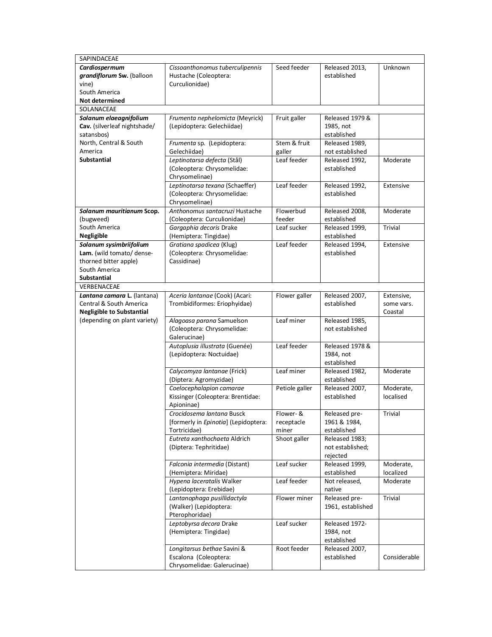| SAPINDACEAE                                                                                                                         |                                                                                     |                                  |                                                |                                     |
|-------------------------------------------------------------------------------------------------------------------------------------|-------------------------------------------------------------------------------------|----------------------------------|------------------------------------------------|-------------------------------------|
| Cardiospermum<br>grandiflorum Sw. (balloon<br>vine)                                                                                 | Cissoanthonomus tuberculipennis<br>Hustache (Coleoptera:<br>Curculionidae)          | Seed feeder                      | Released 2013,<br>established                  | Unknown                             |
| South America<br>Not determined                                                                                                     |                                                                                     |                                  |                                                |                                     |
| SOLANACEAE                                                                                                                          |                                                                                     |                                  |                                                |                                     |
| Solanum elaeagnifolium<br>Cav. (silverleaf nightshade/<br>satansbos)                                                                | Frumenta nephelomicta (Meyrick)<br>(Lepidoptera: Gelechiidae)                       | Fruit galler                     | Released 1979 &<br>1985, not<br>established    |                                     |
| North, Central & South<br>America                                                                                                   | Frumenta sp. (Lepidoptera:<br>Gelechiidae)                                          | Stem & fruit<br>galler           | Released 1989,<br>not established              |                                     |
| <b>Substantial</b>                                                                                                                  | Leptinotarsa defecta (Stål)<br>(Coleoptera: Chrysomelidae:<br>Chrysomelinae)        | Leaf feeder                      | Released 1992,<br>established                  | Moderate                            |
|                                                                                                                                     | Leptinotarsa texana (Schaeffer)<br>(Coleoptera: Chrysomelidae:<br>Chrysomelinae)    | Leaf feeder                      | Released 1992,<br>established                  | Extensive                           |
| Solanum mauritianum Scop.<br>(bugweed)                                                                                              | Anthonomus santacruzi Hustache<br>(Coleoptera: Curculionidae)                       | Flowerbud<br>feeder              | Released 2008,<br>established                  | Moderate                            |
| South America<br>Negligible                                                                                                         | Gargaphia decoris Drake<br>(Hemiptera: Tingidae)                                    | Leaf sucker                      | Released 1999,<br>established                  | <b>Trivial</b>                      |
| Solanum sysimbriifolium<br>Lam. (wild tomato/ dense-<br>thorned bitter apple)<br>South America<br><b>Substantial</b><br>VERBENACEAE | Gratiana spadicea (Klug)<br>(Coleoptera: Chrysomelidae:<br>Cassidinae)              | Leaf feeder                      | Released 1994,<br>established                  | Extensive                           |
| Lantana camara L. (lantana)<br><b>Central &amp; South America</b><br><b>Negligible to Substantial</b>                               | Aceria lantanae (Cook) (Acari:<br>Trombidiformes: Eriophyidae)                      | Flower galler                    | Released 2007,<br>established                  | Extensive,<br>some vars.<br>Coastal |
| (depending on plant variety)                                                                                                        | Alagoasa parana Samuelson<br>(Coleoptera: Chrysomelidae:<br>Galerucinae)            | Leaf miner                       | Released 1985,<br>not established              |                                     |
|                                                                                                                                     | Autoplusia illustrata (Guenée)<br>(Lepidoptera: Noctuidae)                          | Leaf feeder                      | Released 1978 &<br>1984, not<br>established    |                                     |
|                                                                                                                                     | Calycomyza lantanae (Frick)<br>(Diptera: Agromyzidae)                               | Leaf miner                       | Released 1982.<br>established                  | Moderate                            |
|                                                                                                                                     | Coelocephalapion camarae<br>Kissinger (Coleoptera: Brentidae:<br>Apioninae)         | Petiole galler                   | Released 2007,<br>established                  | Moderate,<br>localised              |
|                                                                                                                                     | Crocidosema lantana Busck<br>[formerly in Epinotia] (Lepidoptera:<br>Tortricidae)   | Flower- &<br>receptacle<br>miner | Released pre-<br>1961 & 1984,<br>established   | Trivial                             |
|                                                                                                                                     | Eutreta xanthochaeta Aldrich<br>(Diptera: Tephritidae)                              | Shoot galler                     | Released 1983;<br>not established;<br>rejected |                                     |
|                                                                                                                                     | Falconia intermedia (Distant)<br>(Hemiptera: Miridae)                               | Leaf sucker                      | Released 1999,<br>established                  | Moderate,<br>localized              |
|                                                                                                                                     | Hypena laceratalis Walker<br>(Lepidoptera: Erebidae)                                | Leaf feeder                      | Not released,<br>native                        | Moderate                            |
|                                                                                                                                     | Lantanophaga pusillidactyla<br>(Walker) (Lepidoptera:<br>Pterophoridae)             | Flower miner                     | Released pre-<br>1961, established             | <b>Trivial</b>                      |
|                                                                                                                                     | Leptobyrsa decora Drake<br>(Hemiptera: Tingidae)                                    | Leaf sucker                      | Released 1972-<br>1984, not<br>established     |                                     |
|                                                                                                                                     | Longitarsus bethae Savini &<br>Escalona (Coleoptera:<br>Chrysomelidae: Galerucinae) | Root feeder                      | Released 2007,<br>established                  | Considerable                        |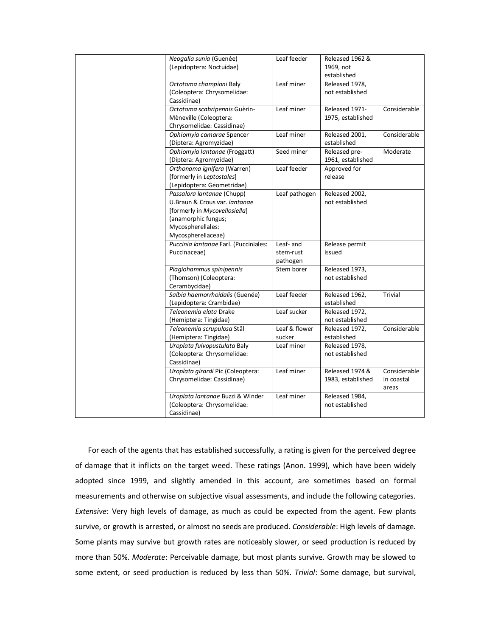| Neogalia sunia (Guenée)               | Leaf feeder   | Released 1962 &   |              |
|---------------------------------------|---------------|-------------------|--------------|
| (Lepidoptera: Noctuidae)              |               | 1969, not         |              |
|                                       |               | established       |              |
| Octotoma championi Baly               | Leaf miner    | Released 1978,    |              |
| (Coleoptera: Chrysomelidae:           |               | not established   |              |
| Cassidinae)                           |               |                   |              |
| Octotoma scabripennis Guèrin-         | Leaf miner    | Released 1971-    | Considerable |
| Mèneville (Coleoptera:                |               | 1975, established |              |
| Chrysomelidae: Cassidinae)            |               |                   |              |
| Ophiomyia camarae Spencer             | Leaf miner    | Released 2001,    | Considerable |
| (Diptera: Agromyzidae)                |               | established       |              |
| Ophiomyia lantanae (Froggatt)         | Seed miner    | Released pre-     | Moderate     |
| (Diptera: Agromyzidae)                |               | 1961, established |              |
| Orthonama ignifera (Warren)           | Leaf feeder   | Approved for      |              |
| [formerly in Leptostales]             |               | release           |              |
| (Lepidoptera: Geometridae)            |               |                   |              |
| Passalora lantanae (Chupp)            | Leaf pathogen | Released 2002,    |              |
| U.Braun & Crous var. lantanae         |               | not established   |              |
| [formerly in Mycovellosiella]         |               |                   |              |
| (anamorphic fungus;                   |               |                   |              |
| Mycospherellales:                     |               |                   |              |
| Mycospherellaceae)                    |               |                   |              |
| Puccinia lantanae Farl. (Pucciniales: | Leaf- and     | Release permit    |              |
| Puccinaceae)                          | stem-rust     | issued            |              |
|                                       | pathogen      |                   |              |
| Plagiohammus spinipennis              | Stem borer    | Released 1973,    |              |
| (Thomson) (Coleoptera:                |               | not established   |              |
| Cerambycidae)                         |               |                   |              |
| Salbia haemorrhoidalis (Guenée)       | Leaf feeder   | Released 1962,    | Trivial      |
| (Lepidoptera: Crambidae)              |               | established       |              |
| Teleonemia elata Drake                | Leaf sucker   | Released 1972,    |              |
| (Hemiptera: Tingidae)                 |               | not established   |              |
| Teleonemia scrupulosa Stål            | Leaf & flower | Released 1972.    | Considerable |
| (Hemiptera: Tingidae)                 | sucker        | established       |              |
| Uroplata fulvopustulata Baly          | Leaf miner    | Released 1978,    |              |
| (Coleoptera: Chrysomelidae:           |               | not established   |              |
| Cassidinae)                           |               |                   |              |
| Uroplata girardi Pic (Coleoptera:     | Leaf miner    | Released 1974 &   | Considerable |
| Chrysomelidae: Cassidinae)            |               | 1983, established | in coastal   |
|                                       |               |                   | areas        |
| Uroplata lantanae Buzzi & Winder      | Leaf miner    | Released 1984,    |              |
| (Coleoptera: Chrysomelidae:           |               | not established   |              |
| Cassidinae)                           |               |                   |              |

For each of the agents that has established successfully, a rating is given for the perceived degree of damage that it inflicts on the target weed. These ratings (Anon. 1999), which have been widely adopted since 1999, and slightly amended in this account, are sometimes based on formal measurements and otherwise on subjective visual assessments, and include the following categories. *Extensive*: Very high levels of damage, as much as could be expected from the agent. Few plants survive, or growth is arrested, or almost no seeds are produced. *Considerable*: High levels of damage. Some plants may survive but growth rates are noticeably slower, or seed production is reduced by more than 50%. *Moderate*: Perceivable damage, but most plants survive. Growth may be slowed to some extent, or seed production is reduced by less than 50%. *Trivial*: Some damage, but survival,